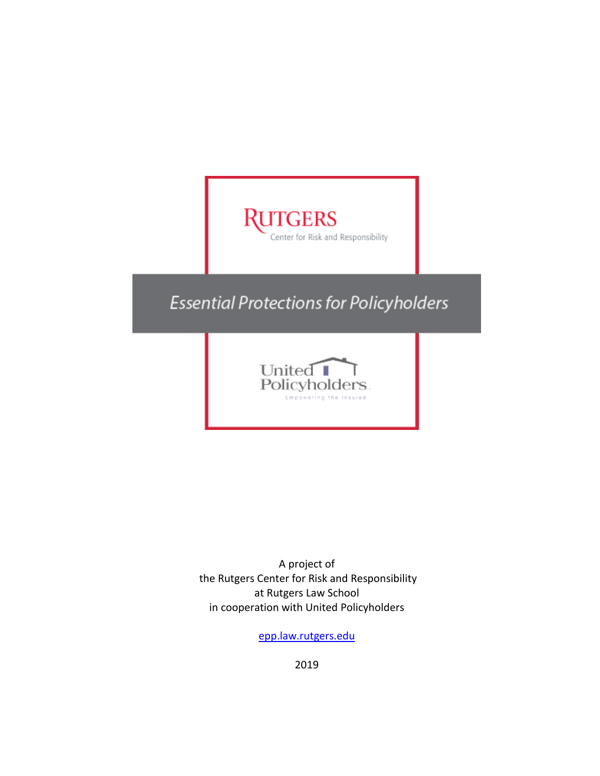# **RUTGERS** Center for Risk and Responsibility **Essential Protections for Policyholders** United Policyholders

A project of the Rutgers Center for Risk and Responsibility at Rutgers Law School in cooperation with United Policyholders

[epp.law.rutgers.edu](https://epp.law.rutgers.edu/)

2019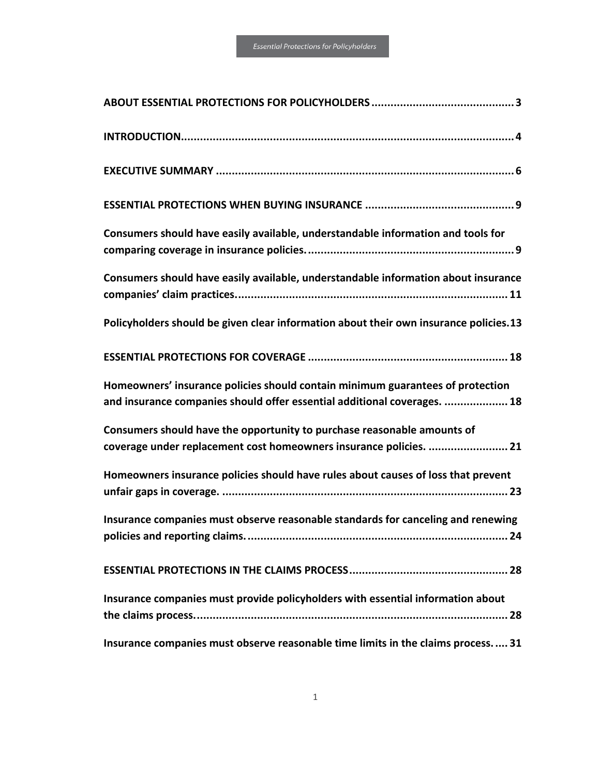| Consumers should have easily available, understandable information and tools for                                                                           |
|------------------------------------------------------------------------------------------------------------------------------------------------------------|
| Consumers should have easily available, understandable information about insurance                                                                         |
| Policyholders should be given clear information about their own insurance policies.13                                                                      |
|                                                                                                                                                            |
| Homeowners' insurance policies should contain minimum guarantees of protection<br>and insurance companies should offer essential additional coverages.  18 |
| Consumers should have the opportunity to purchase reasonable amounts of<br>coverage under replacement cost homeowners insurance policies.  21              |
| Homeowners insurance policies should have rules about causes of loss that prevent                                                                          |
| Insurance companies must observe reasonable standards for canceling and renewing<br>. 24                                                                   |
|                                                                                                                                                            |
| Insurance companies must provide policyholders with essential information about                                                                            |
| Insurance companies must observe reasonable time limits in the claims process 31                                                                           |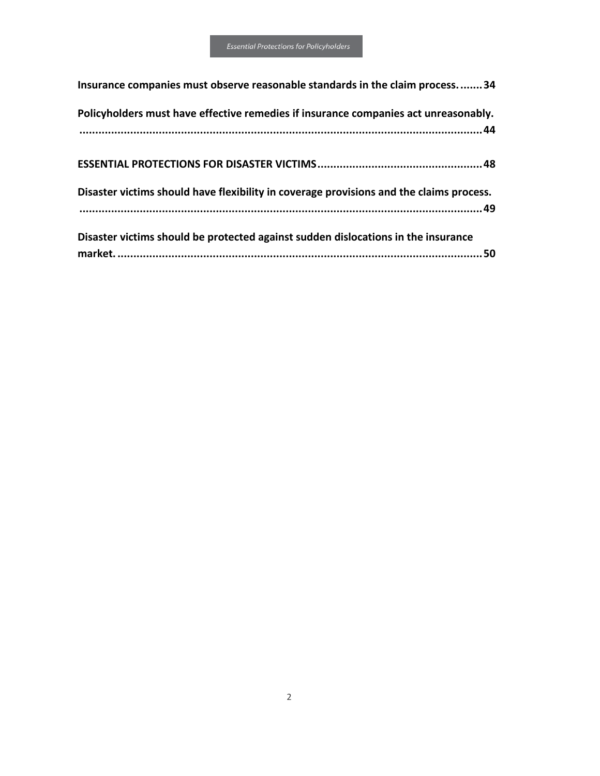| Insurance companies must observe reasonable standards in the claim process34            |
|-----------------------------------------------------------------------------------------|
| Policyholders must have effective remedies if insurance companies act unreasonably.     |
|                                                                                         |
|                                                                                         |
| Disaster victims should have flexibility in coverage provisions and the claims process. |
|                                                                                         |
| Disaster victims should be protected against sudden dislocations in the insurance       |
| . 50                                                                                    |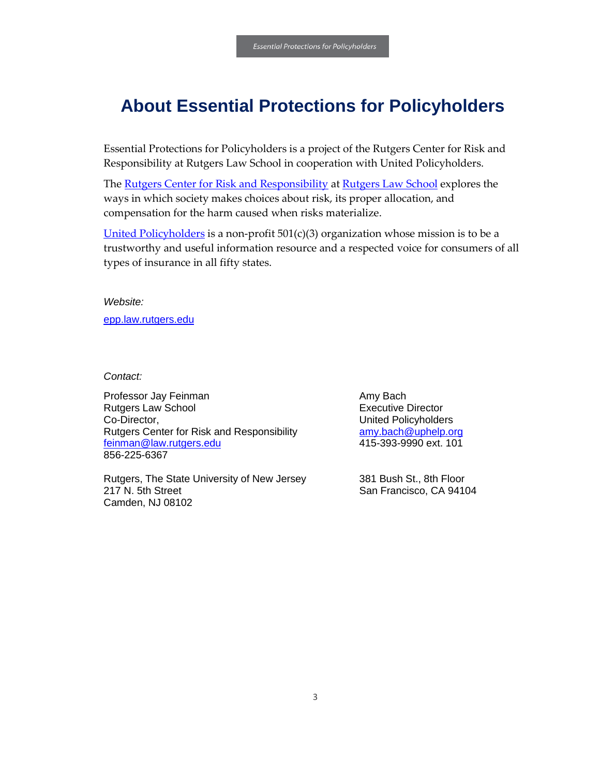# <span id="page-4-0"></span>**About Essential Protections for Policyholders**

Essential Protections for Policyholders is a project of the Rutgers Center for Risk and Responsibility at Rutgers Law School in cooperation with United Policyholders.

The [Rutgers Center for Risk and Responsibility](http://crr.rutgers.edu/) at [Rutgers Law School](https://law.rutgers.edu/) explores the ways in which society makes choices about risk, its proper allocation, and compensation for the harm caused when risks materialize.

[United Policyholders](http://uphelp.org/) is a non-profit  $501(c)(3)$  organization whose mission is to be a trustworthy and useful information resource and a respected voice for consumers of all types of insurance in all fifty states.

*Website:* 

[epp.law.rutgers.edu](https://epp.law.rutgers.edu/)

*Contact:*

Professor Jay Feinman Rutgers Law School Co-Director, Rutgers Center for Risk and Responsibility [feinman@law.rutgers.edu](mailto:feinman@law.rutgers.edu) 856-225-6367

Rutgers, The State University of New Jersey 217 N. 5th Street Camden, NJ 08102

Amy Bach Executive Director United Policyholders [amy.bach@uphelp.org](mailto:amy.bach@uphelp.org) 415-393-9990 ext. 101

381 Bush St., 8th Floor San Francisco, CA 94104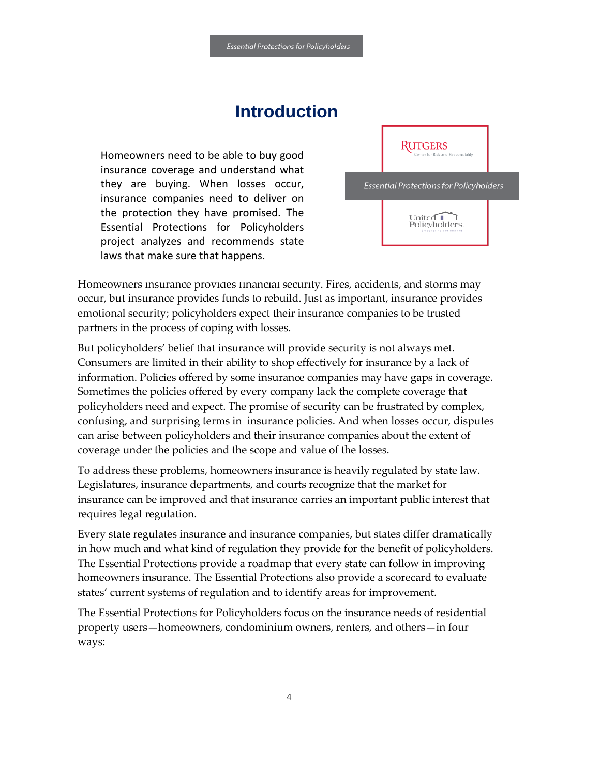# **Introduction**

<span id="page-5-0"></span>Homeowners need to be able to buy good insurance coverage and understand what they are buying. When losses occur, insurance companies need to deliver on the protection they have promised. The Essential Protections for Policyholders project analyzes and recommends state laws that make sure that happens.



Homeowners insurance provides financial security. Fires, accidents, and storms may occur, but insurance provides funds to rebuild. Just as important, insurance provides emotional security; policyholders expect their insurance companies to be trusted partners in the process of coping with losses.

But policyholders' belief that insurance will provide security is not always met. Consumers are limited in their ability to shop effectively for insurance by a lack of information. Policies offered by some insurance companies may have gaps in coverage. Sometimes the policies offered by every company lack the complete coverage that policyholders need and expect. The promise of security can be frustrated by complex, confusing, and surprising terms in insurance policies. And when losses occur, disputes can arise between policyholders and their insurance companies about the extent of coverage under the policies and the scope and value of the losses.

To address these problems, homeowners insurance is heavily regulated by state law. Legislatures, insurance departments, and courts recognize that the market for insurance can be improved and that insurance carries an important public interest that requires legal regulation.

Every state regulates insurance and insurance companies, but states differ dramatically in how much and what kind of regulation they provide for the benefit of policyholders. The Essential Protections provide a roadmap that every state can follow in improving homeowners insurance. The Essential Protections also provide a scorecard to evaluate states' current systems of regulation and to identify areas for improvement.

The Essential Protections for Policyholders focus on the insurance needs of residential property users—homeowners, condominium owners, renters, and others—in four ways: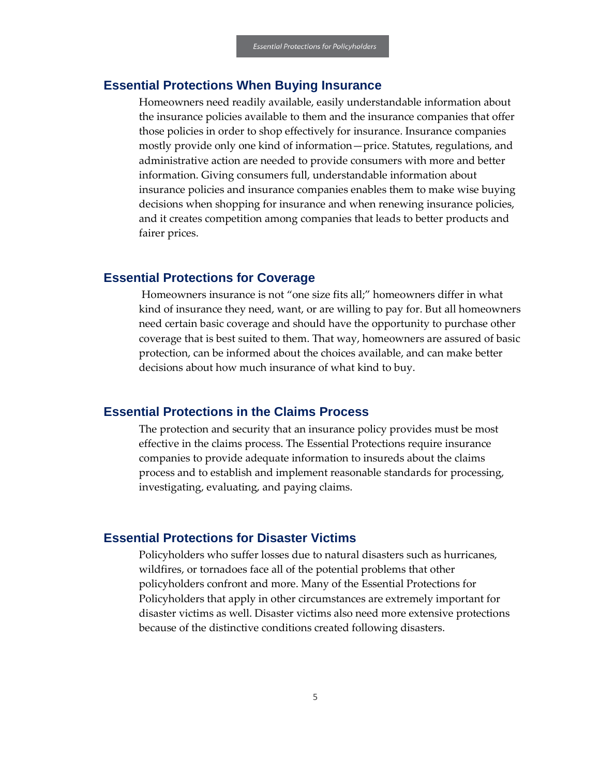#### **Essential Protections When Buying Insurance**

Homeowners need readily available, easily understandable information about the insurance policies available to them and the insurance companies that offer those policies in order to shop effectively for insurance. Insurance companies mostly provide only one kind of information—price. Statutes, regulations, and administrative action are needed to provide consumers with more and better information. Giving consumers full, understandable information about insurance policies and insurance companies enables them to make wise buying decisions when shopping for insurance and when renewing insurance policies, and it creates competition among companies that leads to better products and fairer prices.

#### **Essential Protections for Coverage**

Homeowners insurance is not "one size fits all;" homeowners differ in what kind of insurance they need, want, or are willing to pay for. But all homeowners need certain basic coverage and should have the opportunity to purchase other coverage that is best suited to them. That way, homeowners are assured of basic protection, can be informed about the choices available, and can make better decisions about how much insurance of what kind to buy.

#### **Essential Protections in the Claims Process**

The protection and security that an insurance policy provides must be most effective in the claims process. The Essential Protections require insurance companies to provide adequate information to insureds about the claims process and to establish and implement reasonable standards for processing, investigating, evaluating, and paying claims.

#### **Essential Protections for Disaster Victims**

Policyholders who suffer losses due to natural disasters such as hurricanes, wildfires, or tornadoes face all of the potential problems that other policyholders confront and more. Many of the Essential Protections for Policyholders that apply in other circumstances are extremely important for disaster victims as well. Disaster victims also need more extensive protections because of the distinctive conditions created following disasters.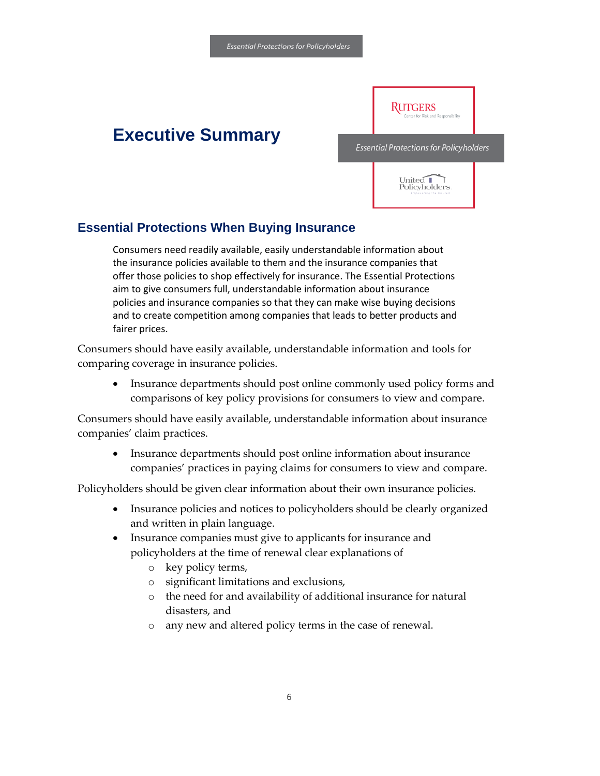# <span id="page-7-0"></span>**Executive Summary**



**RUTGERS** 

## **Essential Protections When Buying Insurance**

Consumers need readily available, easily understandable information about the insurance policies available to them and the insurance companies that offer those policies to shop effectively for insurance. The Essential Protections aim to give consumers full, understandable information about insurance policies and insurance companies so that they can make wise buying decisions and to create competition among companies that leads to better products and fairer prices.

Consumers should have easily available, understandable information and tools for comparing coverage in insurance policies.

• Insurance departments should post online commonly used policy forms and comparisons of key policy provisions for consumers to view and compare.

Consumers should have easily available, understandable information about insurance companies' claim practices.

• Insurance departments should post online information about insurance companies' practices in paying claims for consumers to view and compare.

Policyholders should be given clear information about their own insurance policies.

- Insurance policies and notices to policyholders should be clearly organized and written in plain language.
- Insurance companies must give to applicants for insurance and policyholders at the time of renewal clear explanations of
	- o key policy terms,
	- o significant limitations and exclusions,
	- o the need for and availability of additional insurance for natural disasters, and
	- o any new and altered policy terms in the case of renewal.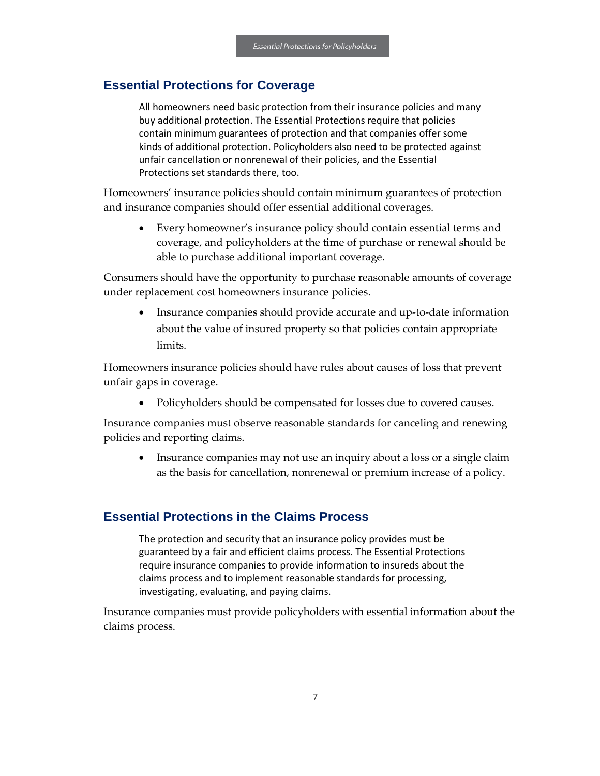## **Essential Protections for Coverage**

All homeowners need basic protection from their insurance policies and many buy additional protection. The Essential Protections require that policies contain minimum guarantees of protection and that companies offer some kinds of additional protection. Policyholders also need to be protected against unfair cancellation or nonrenewal of their policies, and the Essential Protections set standards there, too.

Homeowners' insurance policies should contain minimum guarantees of protection and insurance companies should offer essential additional coverages.

• Every homeowner's insurance policy should contain essential terms and coverage, and policyholders at the time of purchase or renewal should be able to purchase additional important coverage.

Consumers should have the opportunity to purchase reasonable amounts of coverage under replacement cost homeowners insurance policies.

• Insurance companies should provide accurate and up-to-date information about the value of insured property so that policies contain appropriate limits.

Homeowners insurance policies should have rules about causes of loss that prevent unfair gaps in coverage.

• Policyholders should be compensated for losses due to covered causes.

Insurance companies must observe reasonable standards for canceling and renewing policies and reporting claims.

Insurance companies may not use an inquiry about a loss or a single claim as the basis for cancellation, nonrenewal or premium increase of a policy.

## **Essential Protections in the Claims Process**

The protection and security that an insurance policy provides must be guaranteed by a fair and efficient claims process. The Essential Protections require insurance companies to provide information to insureds about the claims process and to implement reasonable standards for processing, investigating, evaluating, and paying claims.

Insurance companies must provide policyholders with essential information about the claims process.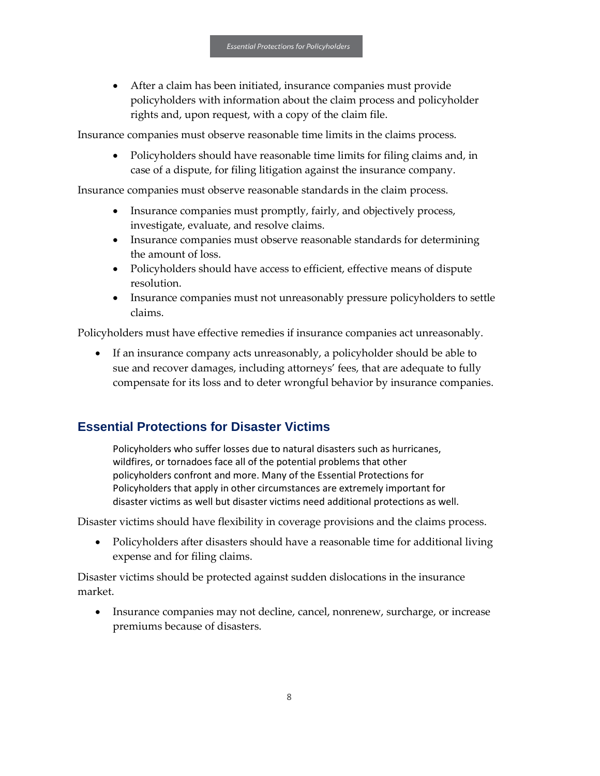• After a claim has been initiated, insurance companies must provide policyholders with information about the claim process and policyholder rights and, upon request, with a copy of the claim file.

Insurance companies must observe reasonable time limits in the claims process.

• Policyholders should have reasonable time limits for filing claims and, in case of a dispute, for filing litigation against the insurance company.

Insurance companies must observe reasonable standards in the claim process.

- Insurance companies must promptly, fairly, and objectively process, investigate, evaluate, and resolve claims.
- Insurance companies must observe reasonable standards for determining the amount of loss.
- Policyholders should have access to efficient, effective means of dispute resolution.
- Insurance companies must not unreasonably pressure policyholders to settle claims.

Policyholders must have effective remedies if insurance companies act unreasonably.

• If an insurance company acts unreasonably, a policyholder should be able to sue and recover damages, including attorneys' fees, that are adequate to fully compensate for its loss and to deter wrongful behavior by insurance companies.

## **Essential Protections for Disaster Victims**

Policyholders who suffer losses due to natural disasters such as hurricanes, wildfires, or tornadoes face all of the potential problems that other policyholders confront and more. Many of the Essential Protections for Policyholders that apply in other circumstances are extremely important for disaster victims as well but disaster victims need additional protections as well.

Disaster victims should have flexibility in coverage provisions and the claims process.

• Policyholders after disasters should have a reasonable time for additional living expense and for filing claims.

Disaster victims should be protected against sudden dislocations in the insurance market.

• Insurance companies may not decline, cancel, nonrenew, surcharge, or increase premiums because of disasters.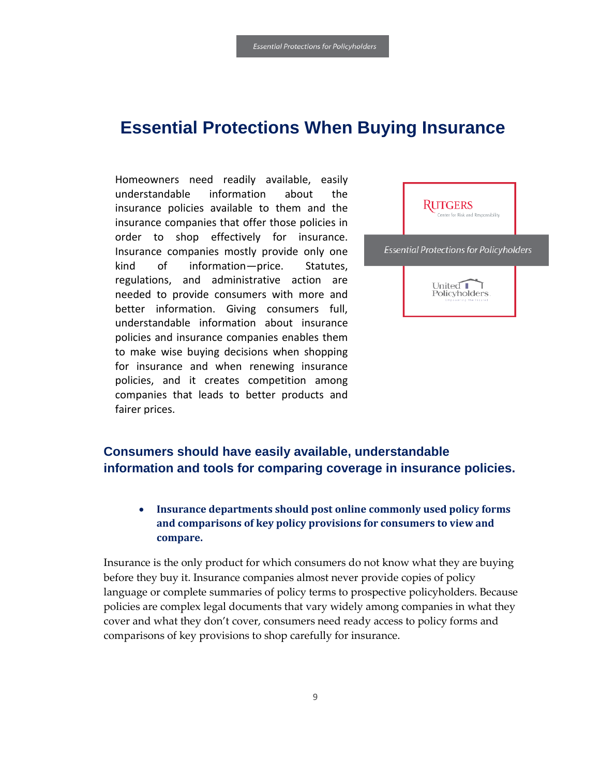# <span id="page-10-0"></span>**Essential Protections When Buying Insurance**

Homeowners need readily available, easily understandable information about the insurance policies available to them and the insurance companies that offer those policies in order to shop effectively for insurance. Insurance companies mostly provide only one kind of information—price. Statutes, regulations, and administrative action are needed to provide consumers with more and better information. Giving consumers full, understandable information about insurance policies and insurance companies enables them to make wise buying decisions when shopping for insurance and when renewing insurance policies, and it creates competition among companies that leads to better products and fairer prices.



## <span id="page-10-1"></span>**Consumers should have easily available, understandable information and tools for comparing coverage in insurance policies.**

## • **Insurance departments should post online commonly used policy forms and comparisons of key policy provisions for consumers to view and compare.**

Insurance is the only product for which consumers do not know what they are buying before they buy it. Insurance companies almost never provide copies of policy language or complete summaries of policy terms to prospective policyholders. Because policies are complex legal documents that vary widely among companies in what they cover and what they don't cover, consumers need ready access to policy forms and comparisons of key provisions to shop carefully for insurance.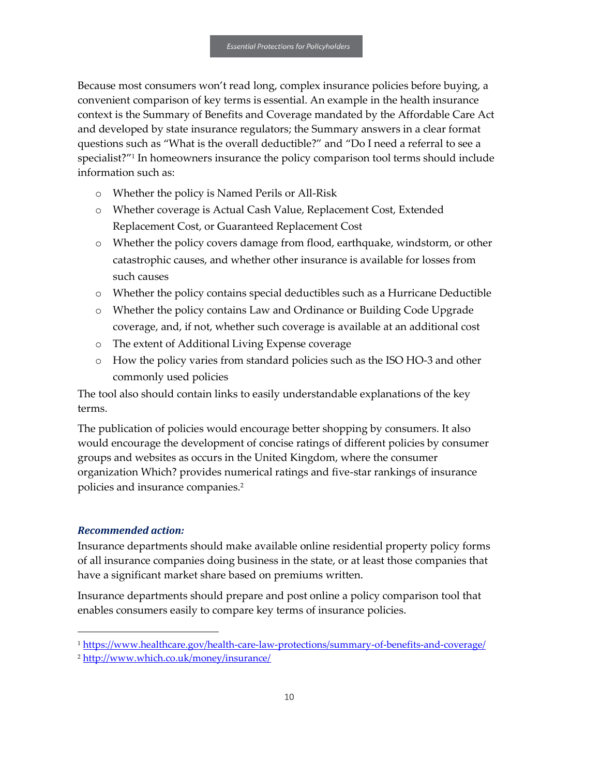Because most consumers won't read long, complex insurance policies before buying, a convenient comparison of key terms is essential. An example in the health insurance context is the Summary of Benefits and Coverage mandated by the Affordable Care Act and developed by state insurance regulators; the Summary answers in a clear format questions such as "What is the overall deductible?" and "Do I need a referral to see a specialist?"<sup>1</sup> In homeowners insurance the policy comparison tool terms should include information such as:

- o Whether the policy is Named Perils or All-Risk
- o Whether coverage is Actual Cash Value, Replacement Cost, Extended Replacement Cost, or Guaranteed Replacement Cost
- o Whether the policy covers damage from flood, earthquake, windstorm, or other catastrophic causes, and whether other insurance is available for losses from such causes
- o Whether the policy contains special deductibles such as a Hurricane Deductible
- o Whether the policy contains Law and Ordinance or Building Code Upgrade coverage, and, if not, whether such coverage is available at an additional cost
- o The extent of Additional Living Expense coverage
- o How the policy varies from standard policies such as the ISO HO-3 and other commonly used policies

The tool also should contain links to easily understandable explanations of the key terms.

The publication of policies would encourage better shopping by consumers. It also would encourage the development of concise ratings of different policies by consumer groups and websites as occurs in the United Kingdom, where the consumer organization Which? provides numerical ratings and five-star rankings of insurance policies and insurance companies.<sup>2</sup>

#### *Recommended action:*

1

Insurance departments should make available online residential property policy forms of all insurance companies doing business in the state, or at least those companies that have a significant market share based on premiums written.

Insurance departments should prepare and post online a policy comparison tool that enables consumers easily to compare key terms of insurance policies.

<sup>1</sup> <https://www.healthcare.gov/health-care-law-protections/summary-of-benefits-and-coverage/>

<sup>2</sup> <http://www.which.co.uk/money/insurance/>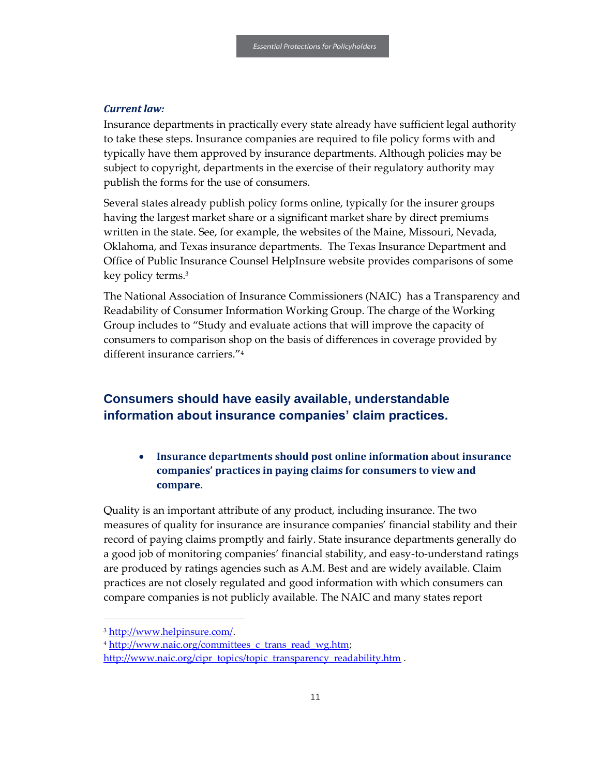#### *Current law:*

Insurance departments in practically every state already have sufficient legal authority to take these steps. Insurance companies are required to file policy forms with and typically have them approved by insurance departments. Although policies may be subject to copyright, departments in the exercise of their regulatory authority may publish the forms for the use of consumers.

Several states already publish policy forms online, typically for the insurer groups having the largest market share or a significant market share by direct premiums written in the state. See, for example, the websites of the Maine, Missouri, Nevada, Oklahoma, and Texas insurance departments. The Texas Insurance Department and Office of Public Insurance Counsel HelpInsure website provides comparisons of some key policy terms.<sup>3</sup>

The National Association of Insurance Commissioners (NAIC) has a Transparency and Readability of Consumer Information Working Group. The charge of the Working Group includes to "Study and evaluate actions that will improve the capacity of consumers to comparison shop on the basis of differences in coverage provided by different insurance carriers."<sup>4</sup>

## <span id="page-12-0"></span>**Consumers should have easily available, understandable information about insurance companies' claim practices.**

• **Insurance departments should post online information about insurance companies' practices in paying claims for consumers to view and compare.**

Quality is an important attribute of any product, including insurance. The two measures of quality for insurance are insurance companies' financial stability and their record of paying claims promptly and fairly. State insurance departments generally do a good job of monitoring companies' financial stability, and easy-to-understand ratings are produced by ratings agencies such as A.M. Best and are widely available. Claim practices are not closely regulated and good information with which consumers can compare companies is not publicly available. The NAIC and many states report

 $\overline{a}$ 

<sup>3</sup> [http://www.helpinsure.com/.](http://www.helpinsure.com/)

<sup>&</sup>lt;sup>4</sup> [http://www.naic.org/committees\\_c\\_trans\\_read\\_wg.htm;](http://www.naic.org/committees_c_trans_read_wg.htm)

[http://www.naic.org/cipr\\_topics/topic\\_transparency\\_readability.htm](http://www.naic.org/cipr_topics/topic_transparency_readability.htm) .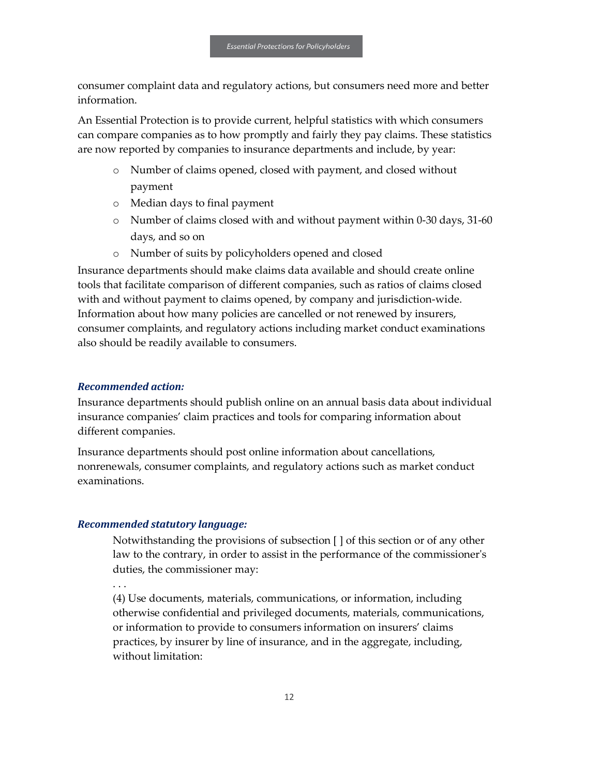consumer complaint data and regulatory actions, but consumers need more and better information.

An Essential Protection is to provide current, helpful statistics with which consumers can compare companies as to how promptly and fairly they pay claims. These statistics are now reported by companies to insurance departments and include, by year:

- o Number of claims opened, closed with payment, and closed without payment
- o Median days to final payment
- o Number of claims closed with and without payment within 0-30 days, 31-60 days, and so on
- o Number of suits by policyholders opened and closed

Insurance departments should make claims data available and should create online tools that facilitate comparison of different companies, such as ratios of claims closed with and without payment to claims opened, by company and jurisdiction-wide. Information about how many policies are cancelled or not renewed by insurers, consumer complaints, and regulatory actions including market conduct examinations also should be readily available to consumers.

#### *Recommended action:*

Insurance departments should publish online on an annual basis data about individual insurance companies' claim practices and tools for comparing information about different companies.

Insurance departments should post online information about cancellations, nonrenewals, consumer complaints, and regulatory actions such as market conduct examinations.

#### *Recommended statutory language:*

Notwithstanding the provisions of subsection [ ] of this section or of any other law to the contrary, in order to assist in the performance of the commissioner's duties, the commissioner may:

. . .

(4) Use documents, materials, communications, or information, including otherwise confidential and privileged documents, materials, communications, or information to provide to consumers information on insurers' claims practices, by insurer by line of insurance, and in the aggregate, including, without limitation: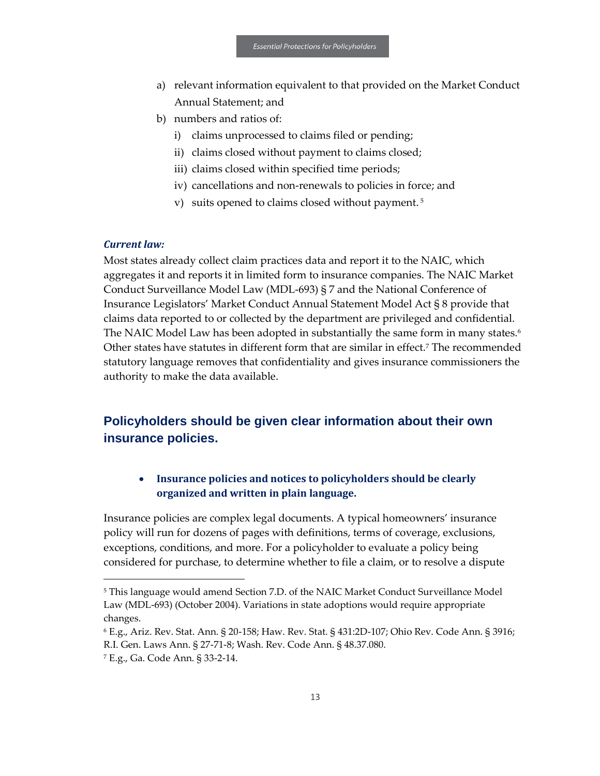- a) relevant information equivalent to that provided on the Market Conduct Annual Statement; and
- b) numbers and ratios of:
	- i) claims unprocessed to claims filed or pending;
	- ii) claims closed without payment to claims closed;
	- iii) claims closed within specified time periods;
	- iv) cancellations and non-renewals to policies in force; and
	- v) suits opened to claims closed without payment. <sup>5</sup>

#### *Current law:*

Most states already collect claim practices data and report it to the NAIC, which aggregates it and reports it in limited form to insurance companies. The NAIC Market Conduct Surveillance Model Law (MDL-693) § 7 and the National Conference of Insurance Legislators' Market Conduct Annual Statement Model Act § 8 provide that claims data reported to or collected by the department are privileged and confidential. The NAIC Model Law has been adopted in substantially the same form in many states. $^6$ Other states have statutes in different form that are similar in effect.<sup>7</sup> The recommended statutory language removes that confidentiality and gives insurance commissioners the authority to make the data available.

## <span id="page-14-0"></span>**Policyholders should be given clear information about their own insurance policies.**

## • **Insurance policies and notices to policyholders should be clearly organized and written in plain language.**

Insurance policies are complex legal documents. A typical homeowners' insurance policy will run for dozens of pages with definitions, terms of coverage, exclusions, exceptions, conditions, and more. For a policyholder to evaluate a policy being considered for purchase, to determine whether to file a claim, or to resolve a dispute

1

<sup>&</sup>lt;sup>5</sup> This language would amend Section 7.D. of the NAIC Market Conduct Surveillance Model Law (MDL-693) (October 2004). Variations in state adoptions would require appropriate changes.

<sup>6</sup> E.g., Ariz. Rev. Stat. Ann. § 20-158; Haw. Rev. Stat. § 431:2D-107; Ohio Rev. Code Ann. § 3916; R.I. Gen. Laws Ann. § 27-71-8; Wash. Rev. Code Ann. § 48.37.080.

<sup>7</sup> E.g., Ga. Code Ann. § 33-2-14.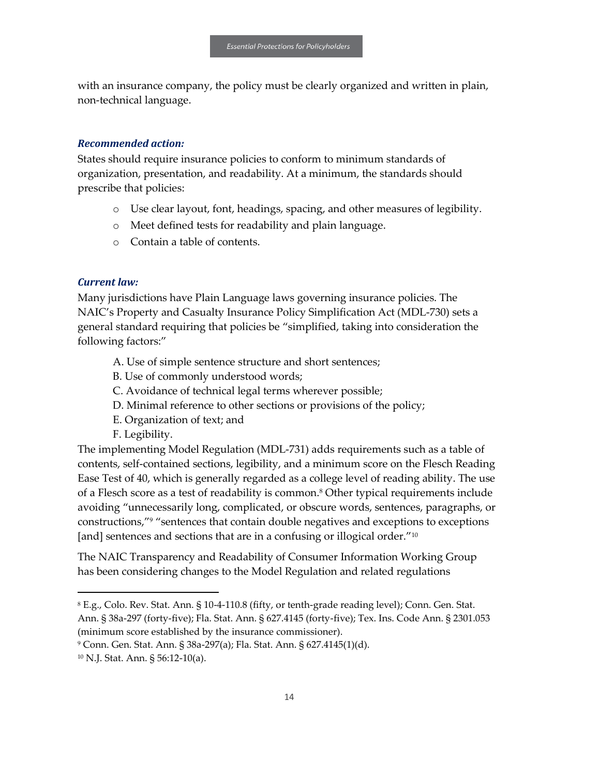with an insurance company, the policy must be clearly organized and written in plain, non-technical language.

#### *Recommended action:*

States should require insurance policies to conform to minimum standards of organization, presentation, and readability. At a minimum, the standards should prescribe that policies:

- o Use clear layout, font, headings, spacing, and other measures of legibility.
- o Meet defined tests for readability and plain language.
- o Contain a table of contents.

#### *Current law:*

Many jurisdictions have Plain Language laws governing insurance policies. The NAIC's Property and Casualty Insurance Policy Simplification Act (MDL-730) sets a general standard requiring that policies be "simplified, taking into consideration the following factors:"

- A. Use of simple sentence structure and short sentences;
- B. Use of commonly understood words;
- C. Avoidance of technical legal terms wherever possible;
- D. Minimal reference to other sections or provisions of the policy;
- E. Organization of text; and
- F. Legibility.

The implementing Model Regulation (MDL-731) adds requirements such as a table of contents, self-contained sections, legibility, and a minimum score on the Flesch Reading Ease Test of 40, which is generally regarded as a college level of reading ability. The use of a Flesch score as a test of readability is common.<sup>8</sup> Other typical requirements include avoiding "unnecessarily long, complicated, or obscure words, sentences, paragraphs, or constructions,"<sup>9</sup> "sentences that contain double negatives and exceptions to exceptions [and] sentences and sections that are in a confusing or illogical order."<sup>10</sup>

The NAIC Transparency and Readability of Consumer Information Working Group has been considering changes to the Model Regulation and related regulations

 $\overline{a}$ 

<sup>8</sup> E.g., Colo. Rev. Stat. Ann. § 10-4-110.8 (fifty, or tenth-grade reading level); Conn. Gen. Stat. Ann. § 38a-297 (forty-five); Fla. Stat. Ann. § 627.4145 (forty-five); Tex. Ins. Code Ann. § 2301.053 (minimum score established by the insurance commissioner).

<sup>9</sup> Conn. Gen. Stat. Ann. § 38a-297(a); Fla. Stat. Ann. § 627.4145(1)(d).

<sup>10</sup> N.J. Stat. Ann. § 56:12-10(a).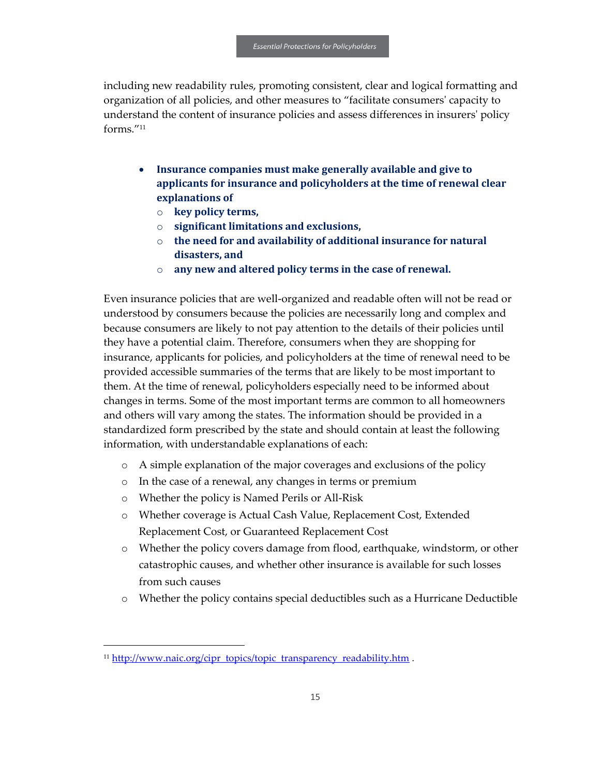including new readability rules, promoting consistent, clear and logical formatting and organization of all policies, and other measures to "facilitate consumers' capacity to understand the content of insurance policies and assess differences in insurers' policy forms."<sup>11</sup>

- **Insurance companies must make generally available and give to applicants for insurance and policyholders at the time of renewal clear explanations of**
	- o **key policy terms,**
	- o **significant limitations and exclusions,**
	- o **the need for and availability of additional insurance for natural disasters, and**
	- o **any new and altered policy terms in the case of renewal.**

Even insurance policies that are well-organized and readable often will not be read or understood by consumers because the policies are necessarily long and complex and because consumers are likely to not pay attention to the details of their policies until they have a potential claim. Therefore, consumers when they are shopping for insurance, applicants for policies, and policyholders at the time of renewal need to be provided accessible summaries of the terms that are likely to be most important to them. At the time of renewal, policyholders especially need to be informed about changes in terms. Some of the most important terms are common to all homeowners and others will vary among the states. The information should be provided in a standardized form prescribed by the state and should contain at least the following information, with understandable explanations of each:

- o A simple explanation of the major coverages and exclusions of the policy
- o In the case of a renewal, any changes in terms or premium
- o Whether the policy is Named Perils or All-Risk
- o Whether coverage is Actual Cash Value, Replacement Cost, Extended Replacement Cost, or Guaranteed Replacement Cost
- o Whether the policy covers damage from flood, earthquake, windstorm, or other catastrophic causes, and whether other insurance is available for such losses from such causes
- o Whether the policy contains special deductibles such as a Hurricane Deductible

 $\overline{a}$ 

<sup>&</sup>lt;sup>11</sup> [http://www.naic.org/cipr\\_topics/topic\\_transparency\\_readability.htm](http://www.naic.org/cipr_topics/topic_transparency_readability.htm) .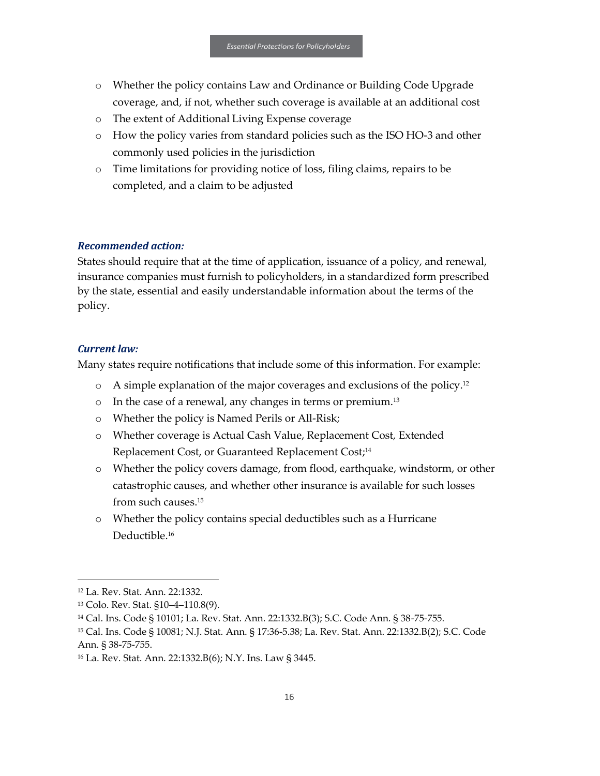- o Whether the policy contains Law and Ordinance or Building Code Upgrade coverage, and, if not, whether such coverage is available at an additional cost
- o The extent of Additional Living Expense coverage
- o How the policy varies from standard policies such as the ISO HO-3 and other commonly used policies in the jurisdiction
- o Time limitations for providing notice of loss, filing claims, repairs to be completed, and a claim to be adjusted

#### *Recommended action:*

States should require that at the time of application, issuance of a policy, and renewal, insurance companies must furnish to policyholders, in a standardized form prescribed by the state, essential and easily understandable information about the terms of the policy.

#### *Current law:*

Many states require notifications that include some of this information. For example:

- $\circ$  A simple explanation of the major coverages and exclusions of the policy.<sup>12</sup>
- $\circ$  In the case of a renewal, any changes in terms or premium.<sup>13</sup>
- o Whether the policy is Named Perils or All-Risk;
- o Whether coverage is Actual Cash Value, Replacement Cost, Extended Replacement Cost, or Guaranteed Replacement Cost;<sup>14</sup>
- o Whether the policy covers damage, from flood, earthquake, windstorm, or other catastrophic causes, and whether other insurance is available for such losses from such causes.<sup>15</sup>
- o Whether the policy contains special deductibles such as a Hurricane Deductible.<sup>16</sup>

1

<sup>12</sup> La. Rev. Stat. Ann. 22:1332.

<sup>13</sup> Colo. Rev. Stat. §10–4–110.8(9).

<sup>14</sup> Cal. Ins. Code § 10101; La. Rev. Stat. Ann. 22:1332.B(3); S.C. Code Ann. § 38-75-755.

<sup>15</sup> Cal. Ins. Code § 10081; N.J. Stat. Ann. § 17:36-5.38; La. Rev. Stat. Ann. 22:1332.B(2); S.C. Code Ann. § 38-75-755.

<sup>16</sup> La. Rev. Stat. Ann. 22:1332.B(6); N.Y. Ins. Law § 3445.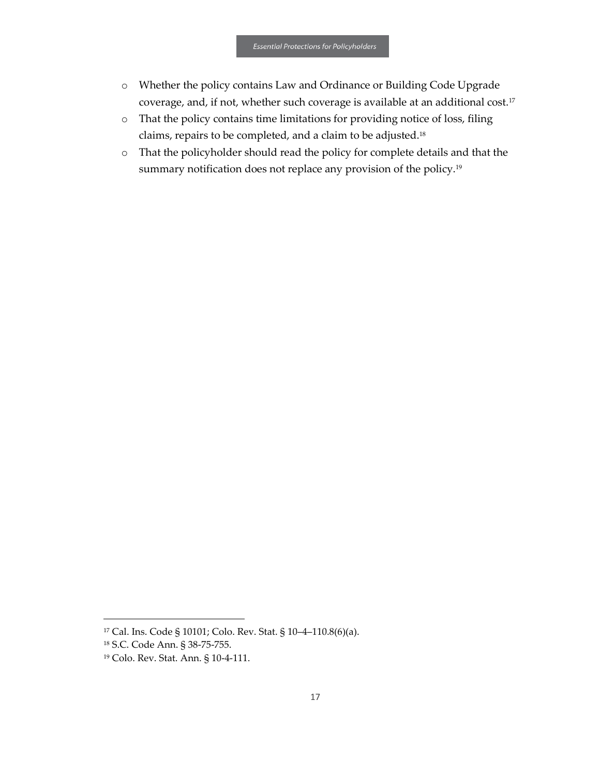- o Whether the policy contains Law and Ordinance or Building Code Upgrade coverage, and, if not, whether such coverage is available at an additional cost.<sup>17</sup>
- o That the policy contains time limitations for providing notice of loss, filing claims, repairs to be completed, and a claim to be adjusted.<sup>18</sup>
- o That the policyholder should read the policy for complete details and that the summary notification does not replace any provision of the policy.<sup>19</sup>

 $\overline{a}$ 

<sup>17</sup> Cal. Ins. Code § 10101; Colo. Rev. Stat. § 10–4–110.8(6)(a).

<sup>18</sup> S.C. Code Ann. § 38-75-755.

<sup>19</sup> Colo. Rev. Stat. Ann. § 10-4-111.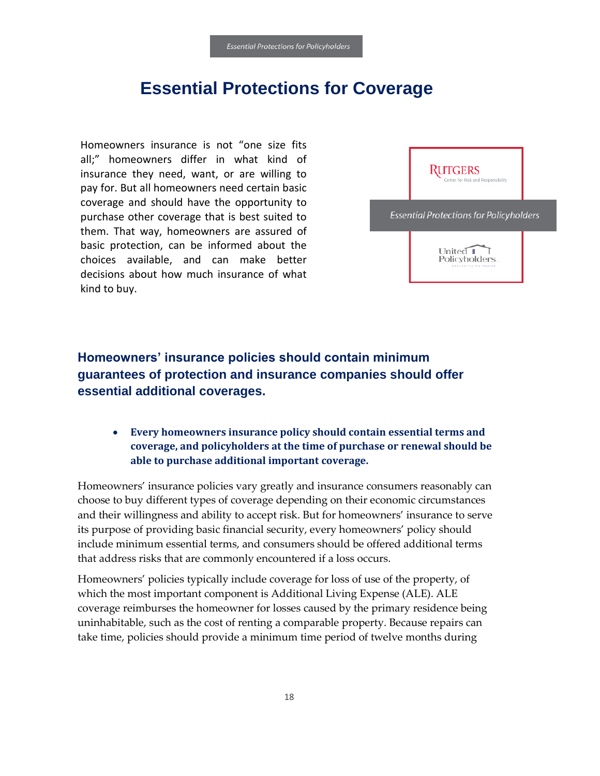# **Essential Protections for Coverage**

<span id="page-19-0"></span>Homeowners insurance is not "one size fits all;" homeowners differ in what kind of insurance they need, want, or are willing to pay for. But all homeowners need certain basic coverage and should have the opportunity to purchase other coverage that is best suited to them. That way, homeowners are assured of basic protection, can be informed about the choices available, and can make better decisions about how much insurance of what kind to buy.



<span id="page-19-1"></span>**Homeowners' insurance policies should contain minimum guarantees of protection and insurance companies should offer essential additional coverages.**

• **Every homeowners insurance policy should contain essential terms and coverage, and policyholders at the time of purchase or renewal should be able to purchase additional important coverage.** 

Homeowners' insurance policies vary greatly and insurance consumers reasonably can choose to buy different types of coverage depending on their economic circumstances and their willingness and ability to accept risk. But for homeowners' insurance to serve its purpose of providing basic financial security, every homeowners' policy should include minimum essential terms, and consumers should be offered additional terms that address risks that are commonly encountered if a loss occurs.

Homeowners' policies typically include coverage for loss of use of the property, of which the most important component is Additional Living Expense (ALE). ALE coverage reimburses the homeowner for losses caused by the primary residence being uninhabitable, such as the cost of renting a comparable property. Because repairs can take time, policies should provide a minimum time period of twelve months during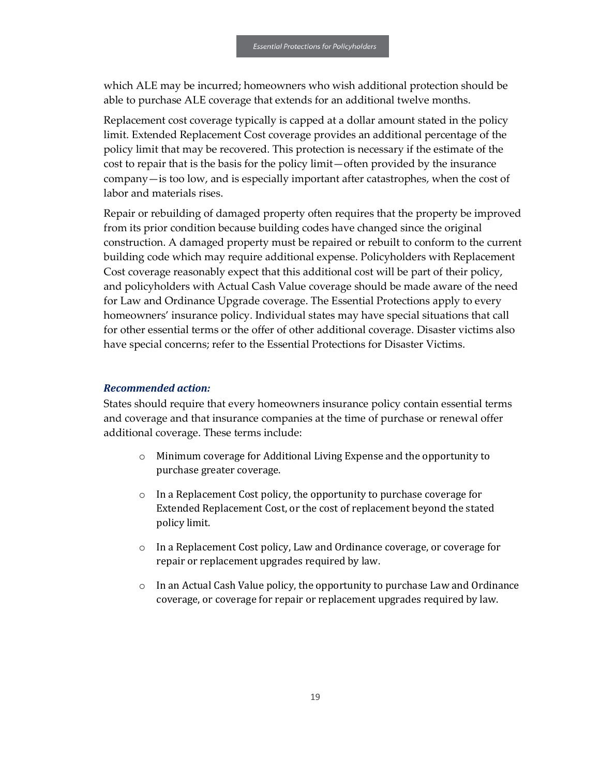which ALE may be incurred; homeowners who wish additional protection should be able to purchase ALE coverage that extends for an additional twelve months.

Replacement cost coverage typically is capped at a dollar amount stated in the policy limit. Extended Replacement Cost coverage provides an additional percentage of the policy limit that may be recovered. This protection is necessary if the estimate of the cost to repair that is the basis for the policy limit—often provided by the insurance company—is too low, and is especially important after catastrophes, when the cost of labor and materials rises.

Repair or rebuilding of damaged property often requires that the property be improved from its prior condition because building codes have changed since the original construction. A damaged property must be repaired or rebuilt to conform to the current building code which may require additional expense. Policyholders with Replacement Cost coverage reasonably expect that this additional cost will be part of their policy, and policyholders with Actual Cash Value coverage should be made aware of the need for Law and Ordinance Upgrade coverage. The Essential Protections apply to every homeowners' insurance policy. Individual states may have special situations that call for other essential terms or the offer of other additional coverage. Disaster victims also have special concerns; refer to the Essential Protections for Disaster Victims.

#### *Recommended action:*

States should require that every homeowners insurance policy contain essential terms and coverage and that insurance companies at the time of purchase or renewal offer additional coverage. These terms include:

- o Minimum coverage for Additional Living Expense and the opportunity to purchase greater coverage.
- o In a Replacement Cost policy, the opportunity to purchase coverage for Extended Replacement Cost, or the cost of replacement beyond the stated policy limit.
- o In a Replacement Cost policy, Law and Ordinance coverage, or coverage for repair or replacement upgrades required by law.
- $\circ$  In an Actual Cash Value policy, the opportunity to purchase Law and Ordinance coverage, or coverage for repair or replacement upgrades required by law.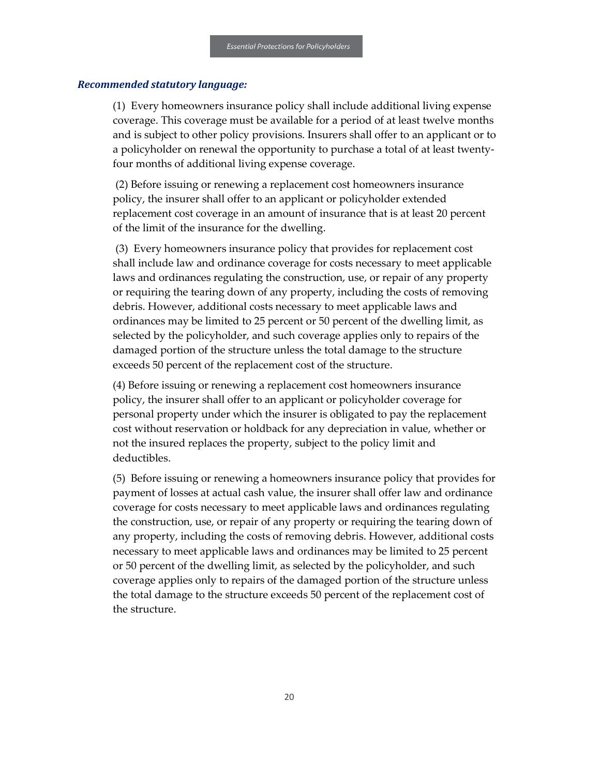#### *Recommended statutory language:*

(1) Every homeowners insurance policy shall include additional living expense coverage. This coverage must be available for a period of at least twelve months and is subject to other policy provisions. Insurers shall offer to an applicant or to a policyholder on renewal the opportunity to purchase a total of at least twentyfour months of additional living expense coverage.

(2) Before issuing or renewing a replacement cost homeowners insurance policy, the insurer shall offer to an applicant or policyholder extended replacement cost coverage in an amount of insurance that is at least 20 percent of the limit of the insurance for the dwelling.

(3) Every homeowners insurance policy that provides for replacement cost shall include law and ordinance coverage for costs necessary to meet applicable laws and ordinances regulating the construction, use, or repair of any property or requiring the tearing down of any property, including the costs of removing debris. However, additional costs necessary to meet applicable laws and ordinances may be limited to 25 percent or 50 percent of the dwelling limit, as selected by the policyholder, and such coverage applies only to repairs of the damaged portion of the structure unless the total damage to the structure exceeds 50 percent of the replacement cost of the structure.

(4) Before issuing or renewing a replacement cost homeowners insurance policy, the insurer shall offer to an applicant or policyholder coverage for personal property under which the insurer is obligated to pay the replacement cost without reservation or holdback for any depreciation in value, whether or not the insured replaces the property, subject to the policy limit and deductibles.

(5) Before issuing or renewing a homeowners insurance policy that provides for payment of losses at actual cash value, the insurer shall offer law and ordinance coverage for costs necessary to meet applicable laws and ordinances regulating the construction, use, or repair of any property or requiring the tearing down of any property, including the costs of removing debris. However, additional costs necessary to meet applicable laws and ordinances may be limited to 25 percent or 50 percent of the dwelling limit, as selected by the policyholder, and such coverage applies only to repairs of the damaged portion of the structure unless the total damage to the structure exceeds 50 percent of the replacement cost of the structure.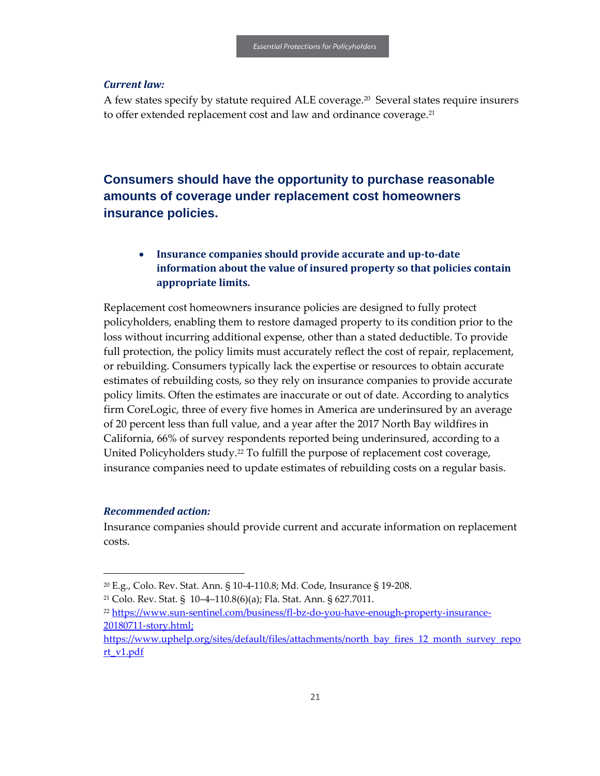#### *Current law:*

A few states specify by statute required ALE coverage.<sup>20</sup> Several states require insurers to offer extended replacement cost and law and ordinance coverage.<sup>21</sup>

## <span id="page-22-0"></span>**Consumers should have the opportunity to purchase reasonable amounts of coverage under replacement cost homeowners insurance policies.**

## • **Insurance companies should provide accurate and up-to-date information about the value of insured property so that policies contain appropriate limits.**

Replacement cost homeowners insurance policies are designed to fully protect policyholders, enabling them to restore damaged property to its condition prior to the loss without incurring additional expense, other than a stated deductible. To provide full protection, the policy limits must accurately reflect the cost of repair, replacement, or rebuilding. Consumers typically lack the expertise or resources to obtain accurate estimates of rebuilding costs, so they rely on insurance companies to provide accurate policy limits. Often the estimates are inaccurate or out of date. According to analytics firm CoreLogic, three of every five homes in America are underinsured by an average of 20 percent less than full value, and a year after the 2017 North Bay wildfires in California, 66% of survey respondents reported being underinsured, according to a United Policyholders study.<sup>22</sup> To fulfill the purpose of replacement cost coverage, insurance companies need to update estimates of rebuilding costs on a regular basis.

#### *Recommended action:*

1

Insurance companies should provide current and accurate information on replacement costs.

<sup>20</sup> E.g., Colo. Rev. Stat. Ann. § 10-4-110.8; Md. Code, Insurance § 19-208.

<sup>21</sup> Colo. Rev. Stat. § 10–4–110.8(6)(a); Fla. Stat. Ann. § 627.7011.

<sup>22</sup> [https://www.sun-sentinel.com/business/fl-bz-do-you-have-enough-property-insurance-](https://www.sun-sentinel.com/business/fl-bz-do-you-have-enough-property-insurance-20180711-story.html)[20180711-story.html;](https://www.sun-sentinel.com/business/fl-bz-do-you-have-enough-property-insurance-20180711-story.html)

https://www.uphelp.org/sites/default/files/attachments/north\_bay\_fires\_12\_month\_survey\_repo rt\_v1.pdf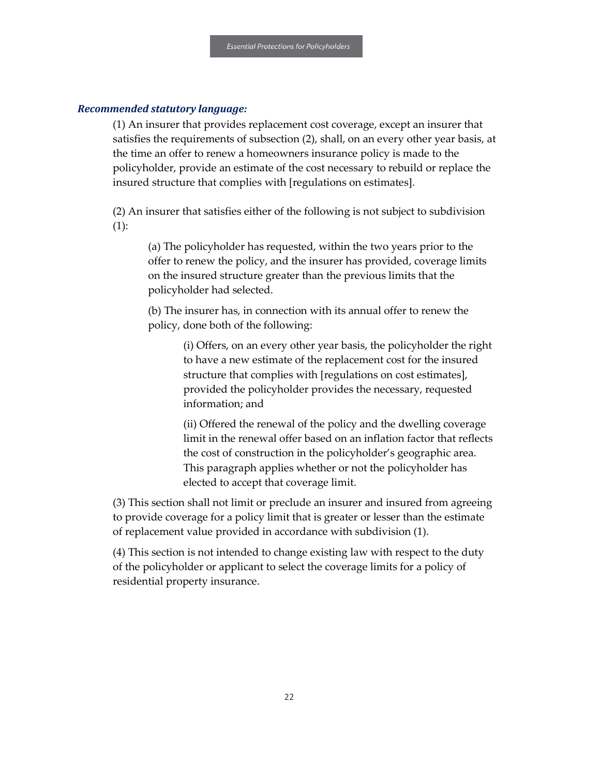#### *Recommended statutory language:*

(1) An insurer that provides replacement cost coverage, except an insurer that satisfies the requirements of subsection (2), shall, on an every other year basis, at the time an offer to renew a homeowners insurance policy is made to the policyholder, provide an estimate of the cost necessary to rebuild or replace the insured structure that complies with [regulations on estimates].

(2) An insurer that satisfies either of the following is not subject to subdivision  $(1)$ :

(a) The policyholder has requested, within the two years prior to the offer to renew the policy, and the insurer has provided, coverage limits on the insured structure greater than the previous limits that the policyholder had selected.

(b) The insurer has, in connection with its annual offer to renew the policy, done both of the following:

> (i) Offers, on an every other year basis, the policyholder the right to have a new estimate of the replacement cost for the insured structure that complies with [regulations on cost estimates], provided the policyholder provides the necessary, requested information; and

> (ii) Offered the renewal of the policy and the dwelling coverage limit in the renewal offer based on an inflation factor that reflects the cost of construction in the policyholder's geographic area. This paragraph applies whether or not the policyholder has elected to accept that coverage limit.

(3) This section shall not limit or preclude an insurer and insured from agreeing to provide coverage for a policy limit that is greater or lesser than the estimate of replacement value provided in accordance with subdivision (1).

(4) This section is not intended to change existing law with respect to the duty of the policyholder or applicant to select the coverage limits for a policy of residential property insurance.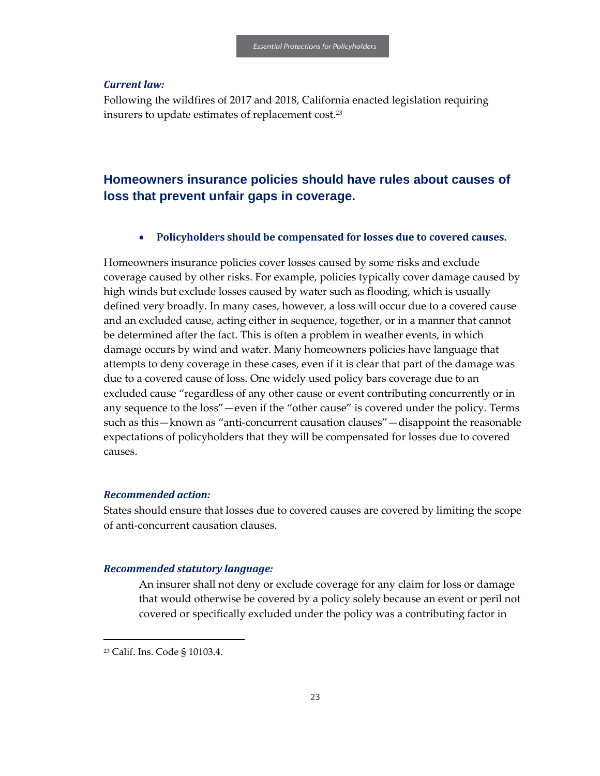#### *Current law:*

Following the wildfires of 2017 and 2018, California enacted legislation requiring insurers to update estimates of replacement cost.<sup>23</sup>

## <span id="page-24-0"></span>**Homeowners insurance policies should have rules about causes of loss that prevent unfair gaps in coverage.**

#### • **Policyholders should be compensated for losses due to covered causes.**

Homeowners insurance policies cover losses caused by some risks and exclude coverage caused by other risks. For example, policies typically cover damage caused by high winds but exclude losses caused by water such as flooding, which is usually defined very broadly. In many cases, however, a loss will occur due to a covered cause and an excluded cause, acting either in sequence, together, or in a manner that cannot be determined after the fact. This is often a problem in weather events, in which damage occurs by wind and water. Many homeowners policies have language that attempts to deny coverage in these cases, even if it is clear that part of the damage was due to a covered cause of loss. One widely used policy bars coverage due to an excluded cause "regardless of any other cause or event contributing concurrently or in any sequence to the loss"—even if the "other cause" is covered under the policy. Terms such as this—known as "anti-concurrent causation clauses"—disappoint the reasonable expectations of policyholders that they will be compensated for losses due to covered causes.

#### *Recommended action:*

States should ensure that losses due to covered causes are covered by limiting the scope of anti-concurrent causation clauses.

#### *Recommended statutory language:*

An insurer shall not deny or exclude coverage for any claim for loss or damage that would otherwise be covered by a policy solely because an event or peril not covered or specifically excluded under the policy was a contributing factor in

 $\overline{a}$ 

<sup>23</sup> Calif. Ins. Code § 10103.4.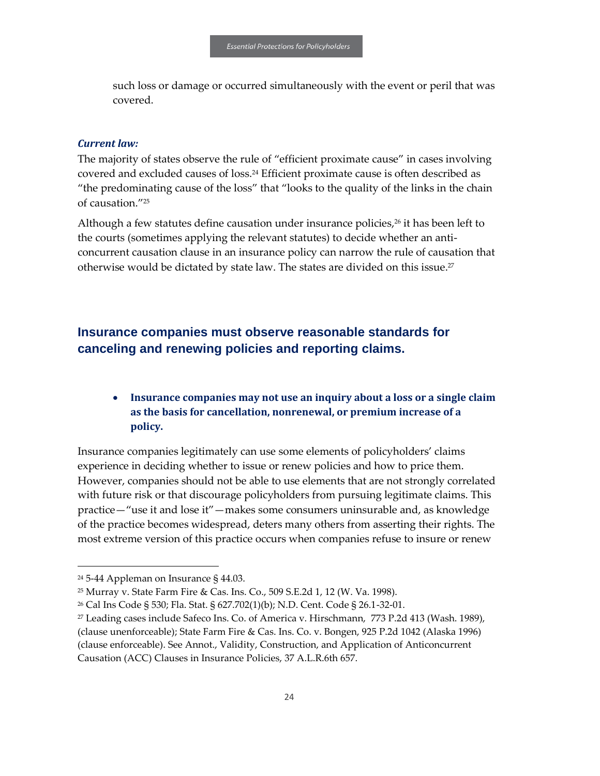such loss or damage or occurred simultaneously with the event or peril that was covered.

#### *Current law:*

The majority of states observe the rule of "efficient proximate cause" in cases involving covered and excluded causes of loss.<sup>24</sup> Efficient proximate cause is often described as "the predominating cause of the loss" that "looks to the quality of the links in the chain of causation."<sup>25</sup>

Although a few statutes define causation under insurance policies,<sup>26</sup> it has been left to the courts (sometimes applying the relevant statutes) to decide whether an anticoncurrent causation clause in an insurance policy can narrow the rule of causation that otherwise would be dictated by state law. The states are divided on this issue.<sup>27</sup>

## <span id="page-25-0"></span>**Insurance companies must observe reasonable standards for canceling and renewing policies and reporting claims.**

## • **Insurance companies may not use an inquiry about a loss or a single claim as the basis for cancellation, nonrenewal, or premium increase of a policy.**

Insurance companies legitimately can use some elements of policyholders' claims experience in deciding whether to issue or renew policies and how to price them. However, companies should not be able to use elements that are not strongly correlated with future risk or that discourage policyholders from pursuing legitimate claims. This practice—"use it and lose it"—makes some consumers uninsurable and, as knowledge of the practice becomes widespread, deters many others from asserting their rights. The most extreme version of this practice occurs when companies refuse to insure or renew

1

<sup>24</sup> 5-44 Appleman on Insurance § 44.03.

<sup>25</sup> Murray v. State Farm Fire & Cas. Ins. Co., 509 S.E.2d 1, 12 (W. Va. 1998).

<sup>26</sup> Cal Ins Code § 530; Fla. Stat. § 627.702(1)(b); N.D. Cent. Code § 26.1-32-01.

<sup>27</sup> Leading cases include Safeco Ins. Co. of America v. Hirschmann, 773 P.2d 413 (Wash. 1989), (clause unenforceable); State Farm Fire & Cas. Ins. Co. v. Bongen, 925 P.2d 1042 (Alaska 1996) (clause enforceable). See Annot., Validity, Construction, and Application of Anticoncurrent Causation (ACC) Clauses in Insurance Policies, 37 A.L.R.6th 657.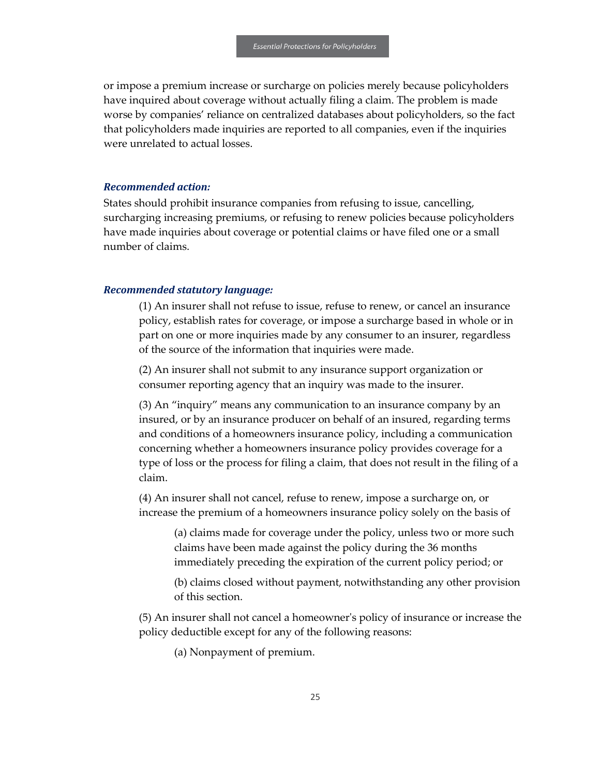or impose a premium increase or surcharge on policies merely because policyholders have inquired about coverage without actually filing a claim. The problem is made worse by companies' reliance on centralized databases about policyholders, so the fact that policyholders made inquiries are reported to all companies, even if the inquiries were unrelated to actual losses.

#### *Recommended action:*

States should prohibit insurance companies from refusing to issue, cancelling, surcharging increasing premiums, or refusing to renew policies because policyholders have made inquiries about coverage or potential claims or have filed one or a small number of claims.

#### *Recommended statutory language:*

(1) An insurer shall not refuse to issue, refuse to renew, or cancel an insurance policy, establish rates for coverage, or impose a surcharge based in whole or in part on one or more inquiries made by any consumer to an insurer, regardless of the source of the information that inquiries were made.

(2) An insurer shall not submit to any insurance support organization or consumer reporting agency that an inquiry was made to the insurer.

(3) An "inquiry" means any communication to an insurance company by an insured, or by an insurance producer on behalf of an insured, regarding terms and conditions of a homeowners insurance policy, including a communication concerning whether a homeowners insurance policy provides coverage for a type of loss or the process for filing a claim, that does not result in the filing of a claim.

(4) An insurer shall not cancel, refuse to renew, impose a surcharge on, or increase the premium of a homeowners insurance policy solely on the basis of

(a) claims made for coverage under the policy, unless two or more such claims have been made against the policy during the 36 months immediately preceding the expiration of the current policy period; or

(b) claims closed without payment, notwithstanding any other provision of this section.

(5) An insurer shall not cancel a homeowner's policy of insurance or increase the policy deductible except for any of the following reasons:

(a) Nonpayment of premium.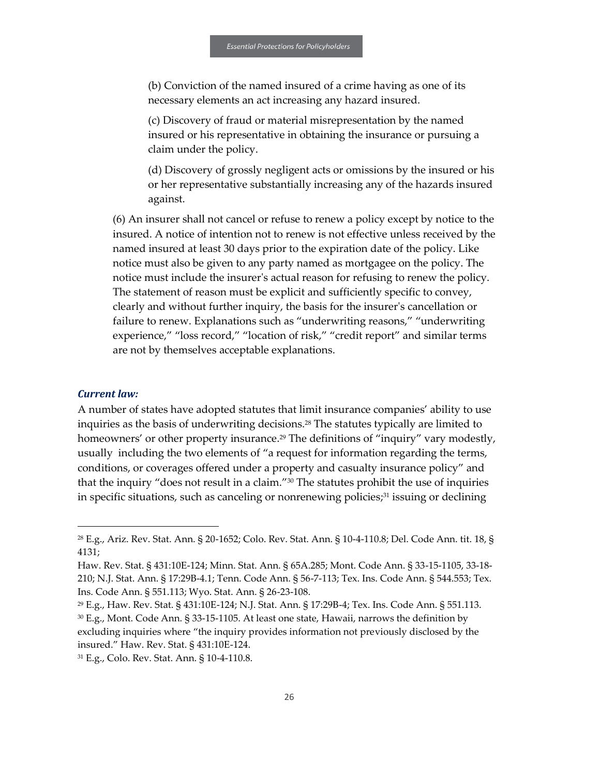(b) Conviction of the named insured of a crime having as one of its necessary elements an act increasing any hazard insured.

(c) Discovery of fraud or material misrepresentation by the named insured or his representative in obtaining the insurance or pursuing a claim under the policy.

(d) Discovery of grossly negligent acts or omissions by the insured or his or her representative substantially increasing any of the hazards insured against.

(6) An insurer shall not cancel or refuse to renew a policy except by notice to the insured. A notice of intention not to renew is not effective unless received by the named insured at least 30 days prior to the expiration date of the policy. Like notice must also be given to any party named as mortgagee on the policy. The notice must include the insurer's actual reason for refusing to renew the policy. The statement of reason must be explicit and sufficiently specific to convey, clearly and without further inquiry, the basis for the insurer's cancellation or failure to renew. Explanations such as "underwriting reasons," "underwriting experience," "loss record," "location of risk," "credit report" and similar terms are not by themselves acceptable explanations.

#### *Current law:*

1

A number of states have adopted statutes that limit insurance companies' ability to use inquiries as the basis of underwriting decisions.<sup>28</sup> The statutes typically are limited to homeowners' or other property insurance.<sup>29</sup> The definitions of "inquiry" vary modestly, usually including the two elements of "a request for information regarding the terms, conditions, or coverages offered under a property and casualty insurance policy" and that the inquiry "does not result in a claim."<sup>30</sup> The statutes prohibit the use of inquiries in specific situations, such as canceling or nonrenewing policies; $31$  issuing or declining

<sup>28</sup> E.g., Ariz. Rev. Stat. Ann. § 20-1652; Colo. Rev. Stat. Ann. § 10-4-110.8; Del. Code Ann. tit. 18, § 4131;

Haw. Rev. Stat. § 431:10E-124; Minn. Stat. Ann. § 65A.285; Mont. Code Ann. § 33-15-1105, 33-18- 210; N.J. Stat. Ann. § 17:29B-4.1; Tenn. Code Ann. § 56-7-113; Tex. Ins. Code Ann. § 544.553; Tex. Ins. Code Ann. § 551.113; Wyo. Stat. Ann. § 26-23-108.

<sup>29</sup> E.g., Haw. Rev. Stat. § 431:10E-124; N.J. Stat. Ann. § 17:29B-4; Tex. Ins. Code Ann. § 551.113. <sup>30</sup> E.g., Mont. Code Ann. § 33-15-1105. At least one state, Hawaii, narrows the definition by excluding inquiries where "the inquiry provides information not previously disclosed by the insured." Haw. Rev. Stat. § 431:10E-124.

<sup>31</sup> E.g., Colo. Rev. Stat. Ann. § 10-4-110.8.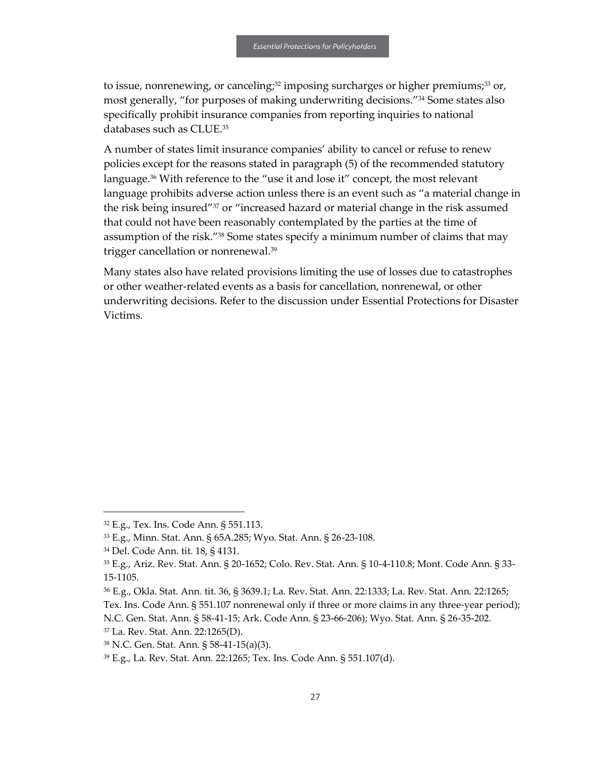to issue, nonrenewing, or canceling;<sup>32</sup> imposing surcharges or higher premiums;<sup>33</sup> or, most generally, "for purposes of making underwriting decisions."<sup>34</sup> Some states also specifically prohibit insurance companies from reporting inquiries to national databases such as CLUE.<sup>35</sup>

A number of states limit insurance companies' ability to cancel or refuse to renew policies except for the reasons stated in paragraph (5) of the recommended statutory language.<sup>36</sup> With reference to the "use it and lose it" concept, the most relevant language prohibits adverse action unless there is an event such as "a material change in the risk being insured"<sup>37</sup> or "increased hazard or material change in the risk assumed that could not have been reasonably contemplated by the parties at the time of assumption of the risk."<sup>38</sup> Some states specify a minimum number of claims that may trigger cancellation or nonrenewal.<sup>39</sup>

Many states also have related provisions limiting the use of losses due to catastrophes or other weather-related events as a basis for cancellation, nonrenewal, or other underwriting decisions. Refer to the discussion under Essential Protections for Disaster Victims.

 $\overline{a}$ 

<sup>32</sup> E.g., Tex. Ins. Code Ann. § 551.113.

<sup>33</sup> E.g., Minn. Stat. Ann. § 65A.285; Wyo. Stat. Ann. § 26-23-108.

<sup>34</sup> Del. Code Ann. tit. 18, § 4131.

<sup>35</sup> E.g., Ariz. Rev. Stat. Ann. § 20-1652; Colo. Rev. Stat. Ann. § 10-4-110.8; Mont. Code Ann. § 33- 15-1105.

<sup>36</sup> E.g., Okla. Stat. Ann. tit. 36, § 3639.1; La. Rev. Stat. Ann. 22:1333; La. Rev. Stat. Ann. 22:1265; Tex. Ins. Code Ann. § 551.107 nonrenewal only if three or more claims in any three-year period);

N.C. Gen. Stat. Ann. § 58-41-15; Ark. Code Ann. § 23-66-206); Wyo. Stat. Ann. § 26-35-202.

<sup>37</sup> La. Rev. Stat. Ann. 22:1265(D).

<sup>38</sup> N.C. Gen. Stat. Ann. § 58-41-15(a)(3).

<sup>39</sup> E.g., La. Rev. Stat. Ann. 22:1265; Tex. Ins. Code Ann. § 551.107(d).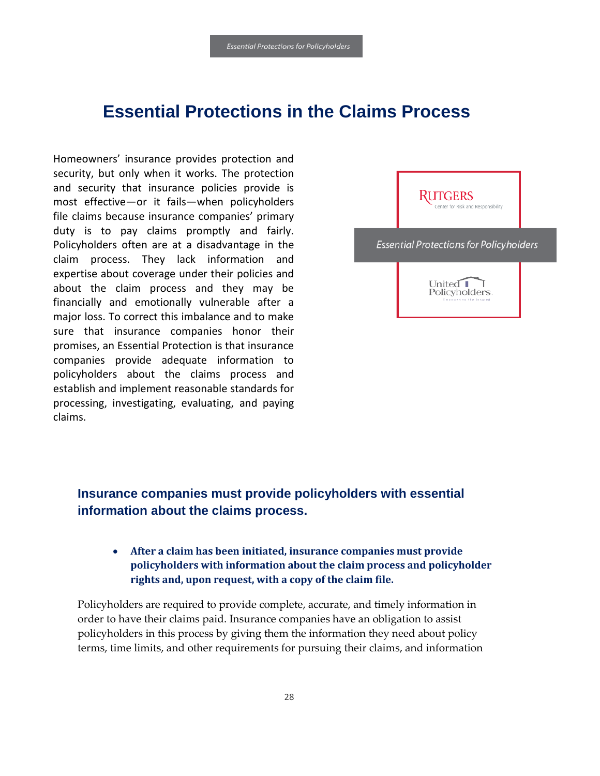# <span id="page-29-0"></span>**Essential Protections in the Claims Process**

Homeowners' insurance provides protection and security, but only when it works. The protection and security that insurance policies provide is most effective—or it fails—when policyholders file claims because insurance companies' primary duty is to pay claims promptly and fairly. Policyholders often are at a disadvantage in the claim process. They lack information and expertise about coverage under their policies and about the claim process and they may be financially and emotionally vulnerable after a major loss. To correct this imbalance and to make sure that insurance companies honor their promises, an Essential Protection is that insurance companies provide adequate information to policyholders about the claims process and establish and implement reasonable standards for processing, investigating, evaluating, and paying claims.



## <span id="page-29-1"></span>**Insurance companies must provide policyholders with essential information about the claims process.**

## • **After a claim has been initiated, insurance companies must provide policyholders with information about the claim process and policyholder rights and, upon request, with a copy of the claim file.**

Policyholders are required to provide complete, accurate, and timely information in order to have their claims paid. Insurance companies have an obligation to assist policyholders in this process by giving them the information they need about policy terms, time limits, and other requirements for pursuing their claims, and information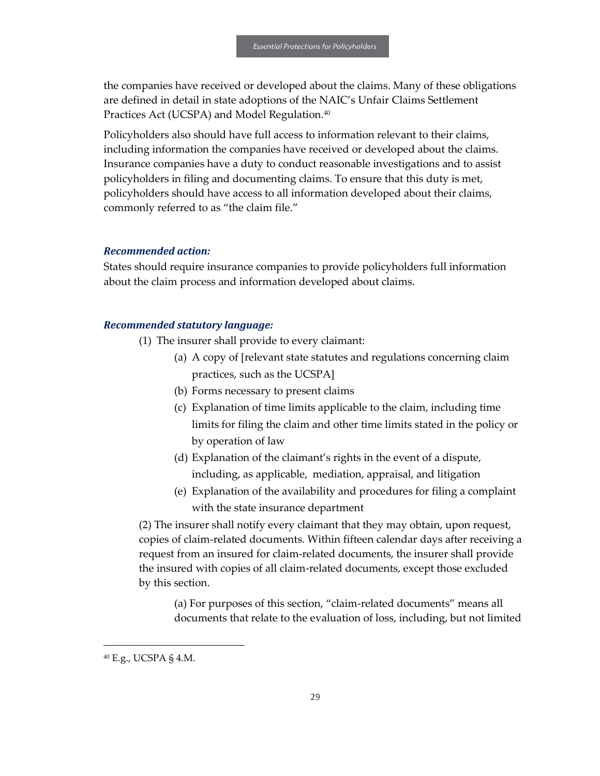the companies have received or developed about the claims. Many of these obligations are defined in detail in state adoptions of the NAIC's Unfair Claims Settlement Practices Act (UCSPA) and Model Regulation.<sup>40</sup>

Policyholders also should have full access to information relevant to their claims, including information the companies have received or developed about the claims. Insurance companies have a duty to conduct reasonable investigations and to assist policyholders in filing and documenting claims. To ensure that this duty is met, policyholders should have access to all information developed about their claims, commonly referred to as "the claim file."

#### *Recommended action:*

States should require insurance companies to provide policyholders full information about the claim process and information developed about claims.

#### *Recommended statutory language:*

- (1) The insurer shall provide to every claimant:
	- (a) A copy of [relevant state statutes and regulations concerning claim practices, such as the UCSPA]
	- (b) Forms necessary to present claims
	- (c) Explanation of time limits applicable to the claim, including time limits for filing the claim and other time limits stated in the policy or by operation of law
	- (d) Explanation of the claimant's rights in the event of a dispute, including, as applicable, mediation, appraisal, and litigation
	- (e) Explanation of the availability and procedures for filing a complaint with the state insurance department

(2) The insurer shall notify every claimant that they may obtain, upon request, copies of claim-related documents. Within fifteen calendar days after receiving a request from an insured for claim-related documents, the insurer shall provide the insured with copies of all claim-related documents, except those excluded by this section.

(a) For purposes of this section, "claim-related documents" means all documents that relate to the evaluation of loss, including, but not limited

 $\overline{a}$ 

<sup>40</sup> E.g., UCSPA § 4.M.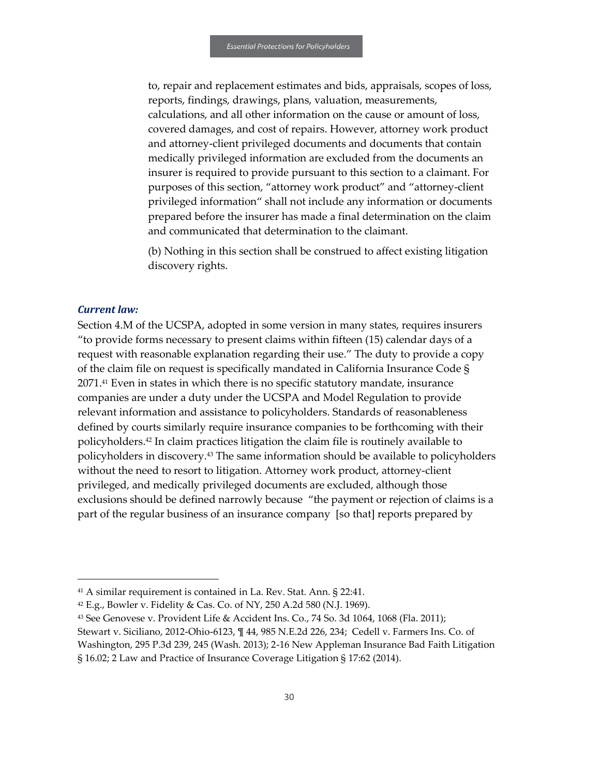to, repair and replacement estimates and bids, appraisals, scopes of loss, reports, findings, drawings, plans, valuation, measurements, calculations, and all other information on the cause or amount of loss, covered damages, and cost of repairs. However, attorney work product and attorney-client privileged documents and documents that contain medically privileged information are excluded from the documents an insurer is required to provide pursuant to this section to a claimant. For purposes of this section, "attorney work product" and "attorney-client privileged information" shall not include any information or documents prepared before the insurer has made a final determination on the claim and communicated that determination to the claimant.

(b) Nothing in this section shall be construed to affect existing litigation discovery rights.

#### *Current law:*

1

Section 4.M of the UCSPA, adopted in some version in many states, requires insurers "to provide forms necessary to present claims within fifteen (15) calendar days of a request with reasonable explanation regarding their use." The duty to provide a copy of the claim file on request is specifically mandated in California Insurance Code § 2071.<sup>41</sup> Even in states in which there is no specific statutory mandate, insurance companies are under a duty under the UCSPA and Model Regulation to provide relevant information and assistance to policyholders. Standards of reasonableness defined by courts similarly require insurance companies to be forthcoming with their policyholders.<sup>42</sup> In claim practices litigation the claim file is routinely available to policyholders in discovery.<sup>43</sup> The same information should be available to policyholders without the need to resort to litigation. Attorney work product, attorney-client privileged, and medically privileged documents are excluded, although those exclusions should be defined narrowly because "the payment or rejection of claims is a part of the regular business of an insurance company [so that] reports prepared by

<sup>41</sup> A similar requirement is contained in La. Rev. Stat. Ann. § 22:41.

 $42$  E.g., Bowler v. Fidelity & Cas. Co. of NY, 250 A.2d 580 (N.J. 1969).

<sup>43</sup> See Genovese v. Provident Life & Accident Ins. Co., 74 So. 3d 1064, 1068 (Fla. 2011); Stewart v. Siciliano, 2012-Ohio-6123, ¶ 44, 985 N.E.2d 226, 234; Cedell v. Farmers Ins. Co. of Washington, 295 P.3d 239, 245 (Wash. 2013); 2-16 New Appleman Insurance Bad Faith Litigation

<sup>§ 16.02; 2</sup> Law and Practice of Insurance Coverage Litigation § 17:62 (2014).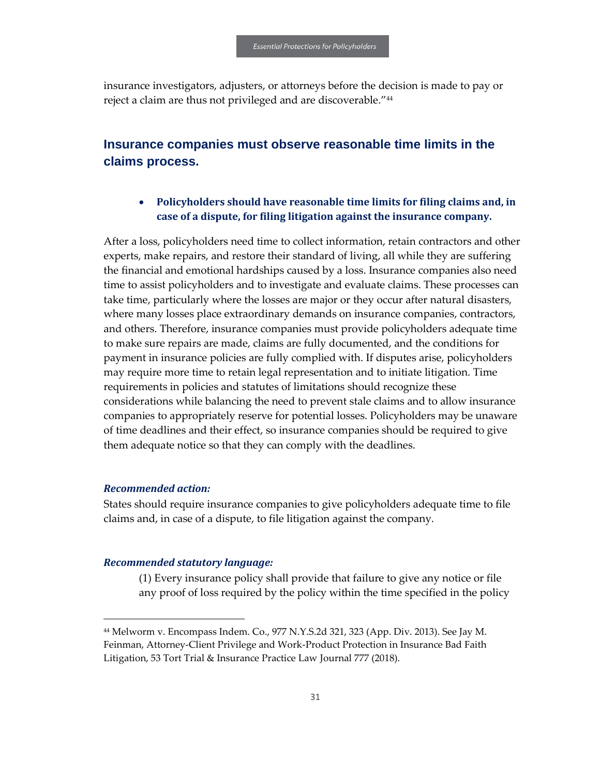insurance investigators, adjusters, or attorneys before the decision is made to pay or reject a claim are thus not privileged and are discoverable."<sup>44</sup>

## <span id="page-32-0"></span>**Insurance companies must observe reasonable time limits in the claims process.**

#### • **Policyholders should have reasonable time limits for filing claims and, in case of a dispute, for filing litigation against the insurance company.**

After a loss, policyholders need time to collect information, retain contractors and other experts, make repairs, and restore their standard of living, all while they are suffering the financial and emotional hardships caused by a loss. Insurance companies also need time to assist policyholders and to investigate and evaluate claims. These processes can take time, particularly where the losses are major or they occur after natural disasters, where many losses place extraordinary demands on insurance companies, contractors, and others. Therefore, insurance companies must provide policyholders adequate time to make sure repairs are made, claims are fully documented, and the conditions for payment in insurance policies are fully complied with. If disputes arise, policyholders may require more time to retain legal representation and to initiate litigation. Time requirements in policies and statutes of limitations should recognize these considerations while balancing the need to prevent stale claims and to allow insurance companies to appropriately reserve for potential losses. Policyholders may be unaware of time deadlines and their effect, so insurance companies should be required to give them adequate notice so that they can comply with the deadlines.

#### *Recommended action:*

 $\overline{a}$ 

States should require insurance companies to give policyholders adequate time to file claims and, in case of a dispute, to file litigation against the company.

#### *Recommended statutory language:*

(1) Every insurance policy shall provide that failure to give any notice or file any proof of loss required by the policy within the time specified in the policy

<sup>44</sup> Melworm v. Encompass Indem. Co., 977 N.Y.S.2d 321, 323 (App. Div. 2013). See Jay M. Feinman, Attorney-Client Privilege and Work-Product Protection in Insurance Bad Faith Litigation, 53 Tort Trial & Insurance Practice Law Journal 777 (2018).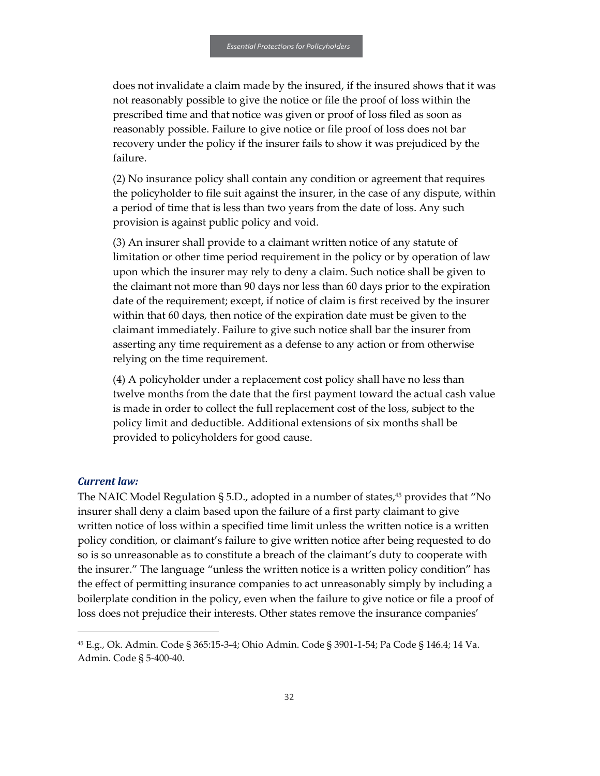does not invalidate a claim made by the insured, if the insured shows that it was not reasonably possible to give the notice or file the proof of loss within the prescribed time and that notice was given or proof of loss filed as soon as reasonably possible. Failure to give notice or file proof of loss does not bar recovery under the policy if the insurer fails to show it was prejudiced by the failure.

(2) No insurance policy shall contain any condition or agreement that requires the policyholder to file suit against the insurer, in the case of any dispute, within a period of time that is less than two years from the date of loss. Any such provision is against public policy and void.

(3) An insurer shall provide to a claimant written notice of any statute of limitation or other time period requirement in the policy or by operation of law upon which the insurer may rely to deny a claim. Such notice shall be given to the claimant not more than 90 days nor less than 60 days prior to the expiration date of the requirement; except, if notice of claim is first received by the insurer within that 60 days, then notice of the expiration date must be given to the claimant immediately. Failure to give such notice shall bar the insurer from asserting any time requirement as a defense to any action or from otherwise relying on the time requirement.

(4) A policyholder under a replacement cost policy shall have no less than twelve months from the date that the first payment toward the actual cash value is made in order to collect the full replacement cost of the loss, subject to the policy limit and deductible. Additional extensions of six months shall be provided to policyholders for good cause.

#### *Current law:*

1

The NAIC Model Regulation § 5.D., adopted in a number of states,  $45$  provides that "No insurer shall deny a claim based upon the failure of a first party claimant to give written notice of loss within a specified time limit unless the written notice is a written policy condition, or claimant's failure to give written notice after being requested to do so is so unreasonable as to constitute a breach of the claimant's duty to cooperate with the insurer." The language "unless the written notice is a written policy condition" has the effect of permitting insurance companies to act unreasonably simply by including a boilerplate condition in the policy, even when the failure to give notice or file a proof of loss does not prejudice their interests. Other states remove the insurance companies'

<sup>45</sup> E.g., Ok. Admin. Code § 365:15-3-4; Ohio Admin. Code § 3901-1-54; Pa Code § 146.4; 14 Va. Admin. Code § 5-400-40.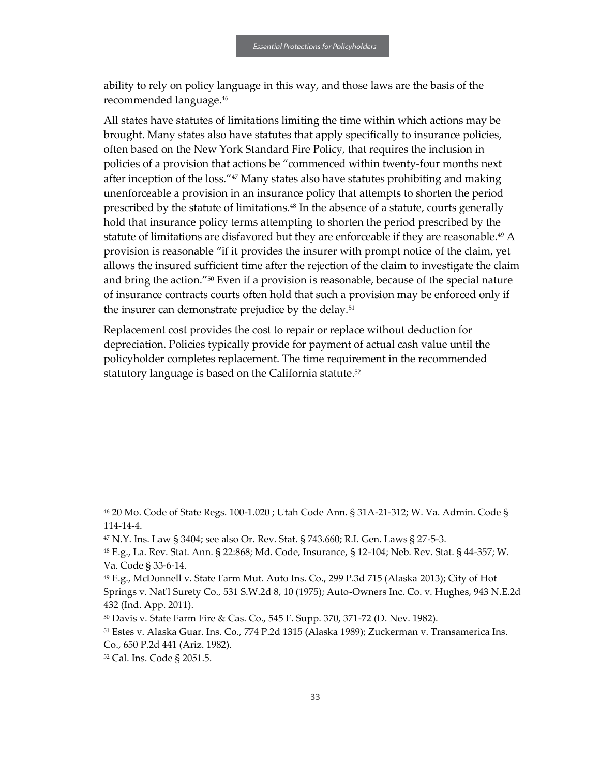ability to rely on policy language in this way, and those laws are the basis of the recommended language.<sup>46</sup>

All states have statutes of limitations limiting the time within which actions may be brought. Many states also have statutes that apply specifically to insurance policies, often based on the New York Standard Fire Policy, that requires the inclusion in policies of a provision that actions be "commenced within twenty-four months next after inception of the loss."<sup>47</sup> Many states also have statutes prohibiting and making unenforceable a provision in an insurance policy that attempts to shorten the period prescribed by the statute of limitations.<sup>48</sup> In the absence of a statute, courts generally hold that insurance policy terms attempting to shorten the period prescribed by the statute of limitations are disfavored but they are enforceable if they are reasonable.<sup>49</sup> A provision is reasonable "if it provides the insurer with prompt notice of the claim, yet allows the insured sufficient time after the rejection of the claim to investigate the claim and bring the action."<sup>50</sup> Even if a provision is reasonable, because of the special nature of insurance contracts courts often hold that such a provision may be enforced only if the insurer can demonstrate prejudice by the delay.<sup>51</sup>

Replacement cost provides the cost to repair or replace without deduction for depreciation. Policies typically provide for payment of actual cash value until the policyholder completes replacement. The time requirement in the recommended statutory language is based on the California statute.<sup>52</sup>

1

<sup>46</sup> 20 Mo. Code of State Regs. 100-1.020 ; Utah Code Ann. § 31A-21-312; W. Va. Admin. Code § 114-14-4.

<sup>47</sup> N.Y. Ins. Law § 3404; see also Or. Rev. Stat. § 743.660; R.I. Gen. Laws § 27-5-3.

<sup>48</sup> E.g., La. Rev. Stat. Ann. § 22:868; Md. Code, Insurance, § 12-104; Neb. Rev. Stat. § 44-357; W. Va. Code § 33-6-14.

<sup>49</sup> E.g., McDonnell v. State Farm Mut. Auto Ins. Co., 299 P.3d 715 (Alaska 2013); City of Hot Springs v. Nat'l Surety Co., 531 S.W.2d 8, 10 (1975); Auto-Owners Inc. Co. v. Hughes, 943 N.E.2d 432 (Ind. App. 2011).

<sup>50</sup> Davis v. State Farm Fire & Cas. Co., 545 F. Supp. 370, 371-72 (D. Nev. 1982).

<sup>51</sup> Estes v. Alaska Guar. Ins. Co., 774 P.2d 1315 (Alaska 1989); Zuckerman v. Transamerica Ins. Co., 650 P.2d 441 (Ariz. 1982).

<sup>52</sup> Cal. Ins. Code § 2051.5.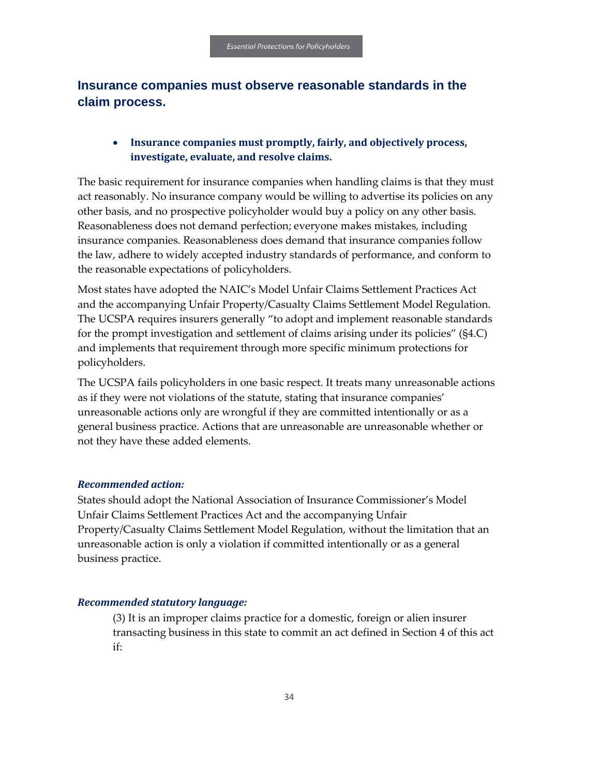## <span id="page-35-0"></span>**Insurance companies must observe reasonable standards in the claim process.**

## • **Insurance companies must promptly, fairly, and objectively process, investigate, evaluate, and resolve claims.**

The basic requirement for insurance companies when handling claims is that they must act reasonably. No insurance company would be willing to advertise its policies on any other basis, and no prospective policyholder would buy a policy on any other basis. Reasonableness does not demand perfection; everyone makes mistakes, including insurance companies. Reasonableness does demand that insurance companies follow the law, adhere to widely accepted industry standards of performance, and conform to the reasonable expectations of policyholders.

Most states have adopted the NAIC's Model Unfair Claims Settlement Practices Act and the accompanying Unfair Property/Casualty Claims Settlement Model Regulation. The UCSPA requires insurers generally "to adopt and implement reasonable standards for the prompt investigation and settlement of claims arising under its policies" (§4.C) and implements that requirement through more specific minimum protections for policyholders.

The UCSPA fails policyholders in one basic respect. It treats many unreasonable actions as if they were not violations of the statute, stating that insurance companies' unreasonable actions only are wrongful if they are committed intentionally or as a general business practice. Actions that are unreasonable are unreasonable whether or not they have these added elements.

#### *Recommended action:*

States should adopt the National Association of Insurance Commissioner's Model Unfair Claims Settlement Practices Act and the accompanying Unfair Property/Casualty Claims Settlement Model Regulation, without the limitation that an unreasonable action is only a violation if committed intentionally or as a general business practice.

#### *Recommended statutory language:*

(3) It is an improper claims practice for a domestic, foreign or alien insurer transacting business in this state to commit an act defined in Section 4 of this act if: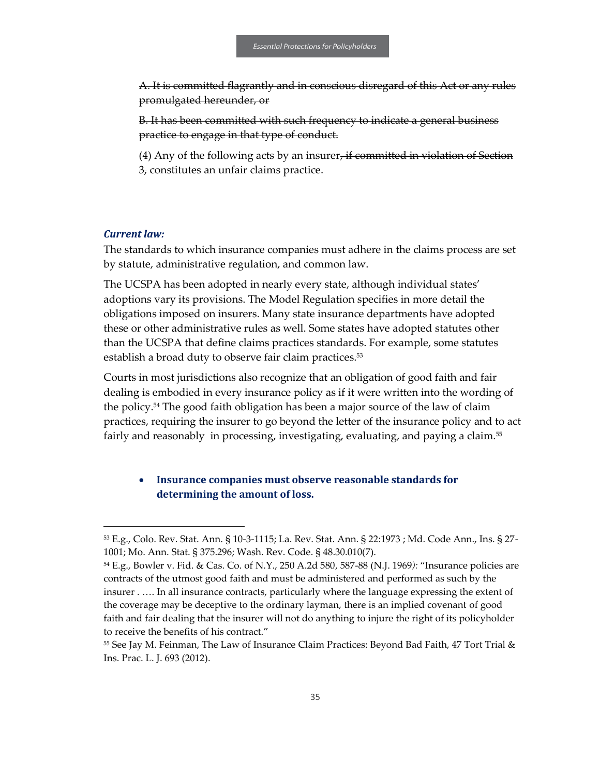A. It is committed flagrantly and in conscious disregard of this Act or any rules promulgated hereunder, or

B. It has been committed with such frequency to indicate a general business practice to engage in that type of conduct.

 $(4)$  Any of the following acts by an insurer, if committed in violation of Section 3, constitutes an unfair claims practice.

#### *Current law:*

1

The standards to which insurance companies must adhere in the claims process are set by statute, administrative regulation, and common law.

The UCSPA has been adopted in nearly every state, although individual states' adoptions vary its provisions. The Model Regulation specifies in more detail the obligations imposed on insurers. Many state insurance departments have adopted these or other administrative rules as well. Some states have adopted statutes other than the UCSPA that define claims practices standards. For example, some statutes establish a broad duty to observe fair claim practices.<sup>53</sup>

Courts in most jurisdictions also recognize that an obligation of good faith and fair dealing is embodied in every insurance policy as if it were written into the wording of the policy.<sup>54</sup> The good faith obligation has been a major source of the law of claim practices, requiring the insurer to go beyond the letter of the insurance policy and to act fairly and reasonably in processing, investigating, evaluating, and paying a claim.<sup>55</sup>

#### • **Insurance companies must observe reasonable standards for determining the amount of loss.**

<sup>53</sup> E.g., Colo. Rev. Stat. Ann. § 10-3-1115; La. Rev. Stat. Ann. § 22:1973 ; Md. Code Ann., Ins. § 27- 1001; Mo. Ann. Stat. § 375.296; Wash. Rev. Code. § 48.30.010(7).

<sup>54</sup> E.g., Bowler v. Fid. & Cas. Co. of N.Y., 250 A.2d 580, 587-88 (N.J. 1969*):* "Insurance policies are contracts of the utmost good faith and must be administered and performed as such by the insurer . …. In all insurance contracts, particularly where the language expressing the extent of the coverage may be deceptive to the ordinary layman, there is an implied covenant of good faith and fair dealing that the insurer will not do anything to injure the right of its policyholder to receive the benefits of his contract."

<sup>55</sup> See Jay M. Feinman, The Law of Insurance Claim Practices: Beyond Bad Faith, 47 Tort Trial & Ins. Prac. L. J. 693 (2012).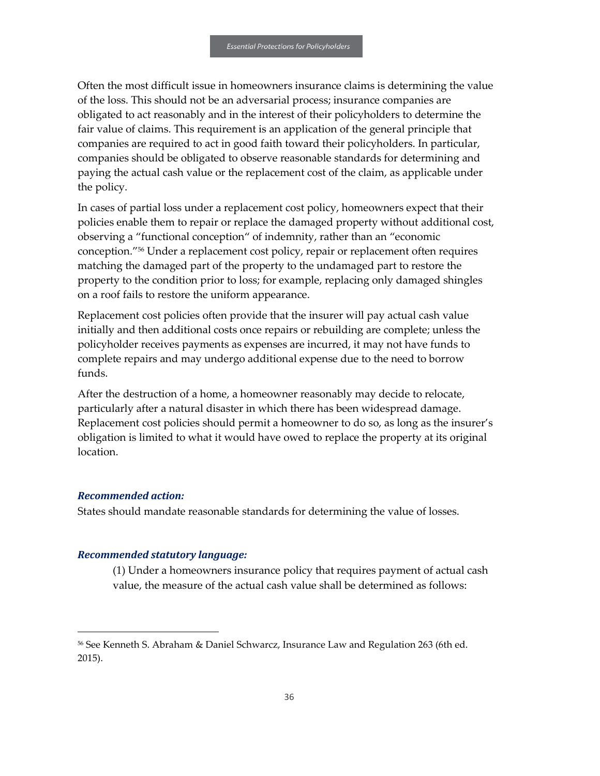Often the most difficult issue in homeowners insurance claims is determining the value of the loss. This should not be an adversarial process; insurance companies are obligated to act reasonably and in the interest of their policyholders to determine the fair value of claims. This requirement is an application of the general principle that companies are required to act in good faith toward their policyholders. In particular, companies should be obligated to observe reasonable standards for determining and paying the actual cash value or the replacement cost of the claim, as applicable under the policy.

In cases of partial loss under a replacement cost policy, homeowners expect that their policies enable them to repair or replace the damaged property without additional cost, observing a "functional conception" of indemnity, rather than an "economic conception."<sup>56</sup> Under a replacement cost policy, repair or replacement often requires matching the damaged part of the property to the undamaged part to restore the property to the condition prior to loss; for example, replacing only damaged shingles on a roof fails to restore the uniform appearance.

Replacement cost policies often provide that the insurer will pay actual cash value initially and then additional costs once repairs or rebuilding are complete; unless the policyholder receives payments as expenses are incurred, it may not have funds to complete repairs and may undergo additional expense due to the need to borrow funds.

After the destruction of a home, a homeowner reasonably may decide to relocate, particularly after a natural disaster in which there has been widespread damage. Replacement cost policies should permit a homeowner to do so, as long as the insurer's obligation is limited to what it would have owed to replace the property at its original location.

#### *Recommended action:*

1

States should mandate reasonable standards for determining the value of losses.

#### *Recommended statutory language:*

(1) Under a homeowners insurance policy that requires payment of actual cash value, the measure of the actual cash value shall be determined as follows:

<sup>56</sup> See Kenneth S. Abraham & Daniel Schwarcz, Insurance Law and Regulation 263 (6th ed. 2015).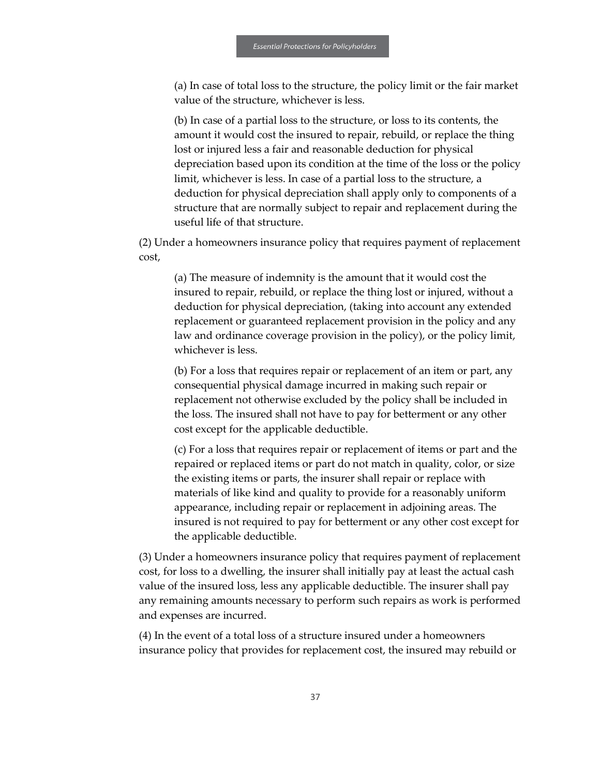(a) In case of total loss to the structure, the policy limit or the fair market value of the structure, whichever is less.

(b) In case of a partial loss to the structure, or loss to its contents, the amount it would cost the insured to repair, rebuild, or replace the thing lost or injured less a fair and reasonable deduction for physical depreciation based upon its condition at the time of the loss or the policy limit, whichever is less. In case of a partial loss to the structure, a deduction for physical depreciation shall apply only to components of a structure that are normally subject to repair and replacement during the useful life of that structure.

(2) Under a homeowners insurance policy that requires payment of replacement cost,

(a) The measure of indemnity is the amount that it would cost the insured to repair, rebuild, or replace the thing lost or injured, without a deduction for physical depreciation, (taking into account any extended replacement or guaranteed replacement provision in the policy and any law and ordinance coverage provision in the policy), or the policy limit, whichever is less.

(b) For a loss that requires repair or replacement of an item or part, any consequential physical damage incurred in making such repair or replacement not otherwise excluded by the policy shall be included in the loss. The insured shall not have to pay for betterment or any other cost except for the applicable deductible.

(c) For a loss that requires repair or replacement of items or part and the repaired or replaced items or part do not match in quality, color, or size the existing items or parts, the insurer shall repair or replace with materials of like kind and quality to provide for a reasonably uniform appearance, including repair or replacement in adjoining areas. The insured is not required to pay for betterment or any other cost except for the applicable deductible.

(3) Under a homeowners insurance policy that requires payment of replacement cost, for loss to a dwelling, the insurer shall initially pay at least the actual cash value of the insured loss, less any applicable deductible. The insurer shall pay any remaining amounts necessary to perform such repairs as work is performed and expenses are incurred.

(4) In the event of a total loss of a structure insured under a homeowners insurance policy that provides for replacement cost, the insured may rebuild or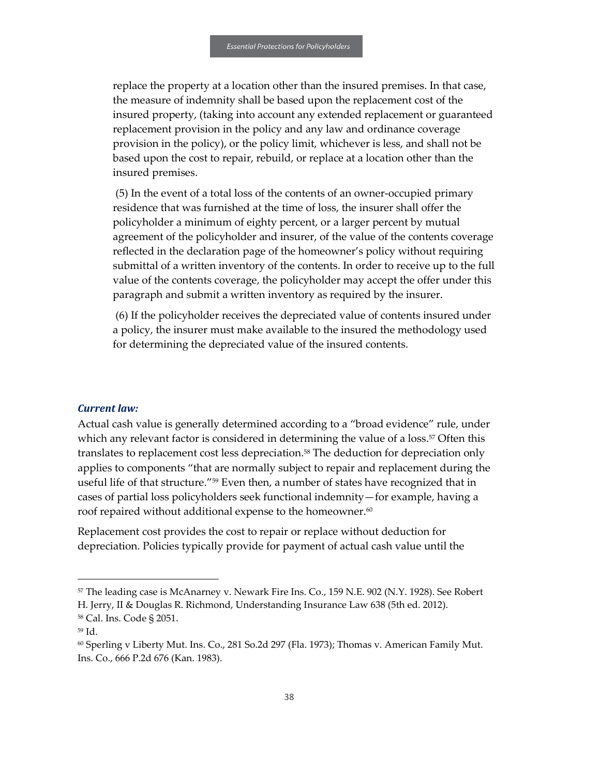replace the property at a location other than the insured premises. In that case, the measure of indemnity shall be based upon the replacement cost of the insured property, (taking into account any extended replacement or guaranteed replacement provision in the policy and any law and ordinance coverage provision in the policy), or the policy limit, whichever is less, and shall not be based upon the cost to repair, rebuild, or replace at a location other than the insured premises.

(5) In the event of a total loss of the contents of an owner-occupied primary residence that was furnished at the time of loss, the insurer shall offer the policyholder a minimum of eighty percent, or a larger percent by mutual agreement of the policyholder and insurer, of the value of the contents coverage reflected in the declaration page of the homeowner's policy without requiring submittal of a written inventory of the contents. In order to receive up to the full value of the contents coverage, the policyholder may accept the offer under this paragraph and submit a written inventory as required by the insurer.

(6) If the policyholder receives the depreciated value of contents insured under a policy, the insurer must make available to the insured the methodology used for determining the depreciated value of the insured contents.

#### *Current law:*

Actual cash value is generally determined according to a "broad evidence" rule, under which any relevant factor is considered in determining the value of a loss.<sup>57</sup> Often this translates to replacement cost less depreciation.<sup>58</sup> The deduction for depreciation only applies to components "that are normally subject to repair and replacement during the useful life of that structure."<sup>59</sup> Even then, a number of states have recognized that in cases of partial loss policyholders seek functional indemnity—for example, having a roof repaired without additional expense to the homeowner.<sup>60</sup>

Replacement cost provides the cost to repair or replace without deduction for depreciation. Policies typically provide for payment of actual cash value until the

1

<sup>&</sup>lt;sup>57</sup> The leading case is McAnarney v. Newark Fire Ins. Co., 159 N.E. 902 (N.Y. 1928). See Robert H. Jerry, II & Douglas R. Richmond, Understanding Insurance Law 638 (5th ed. 2012).

<sup>58</sup> Cal. Ins. Code § 2051.

<sup>59</sup> Id.

<sup>60</sup> Sperling v Liberty Mut. Ins. Co., 281 So.2d 297 (Fla. 1973); Thomas v. American Family Mut. Ins. Co., 666 P.2d 676 (Kan. 1983).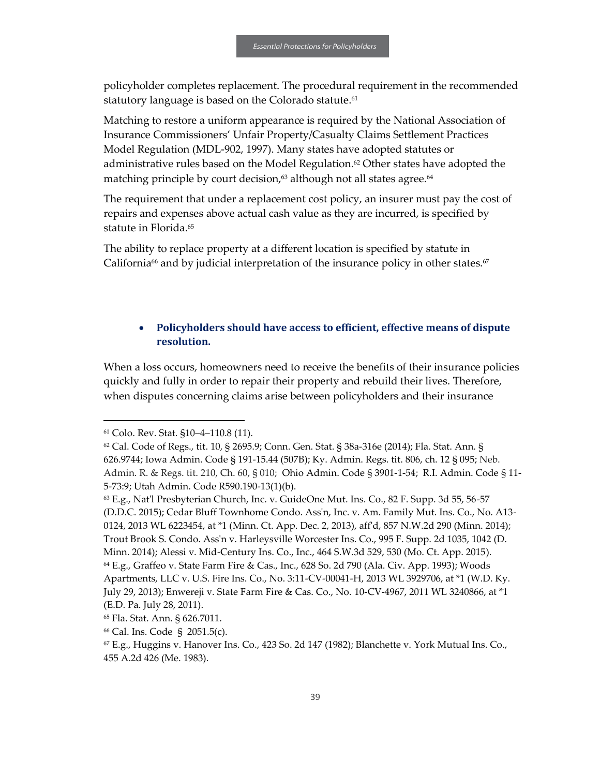policyholder completes replacement. The procedural requirement in the recommended statutory language is based on the Colorado statute.<sup>61</sup>

Matching to restore a uniform appearance is required by the National Association of Insurance Commissioners' Unfair Property/Casualty Claims Settlement Practices Model Regulation (MDL-902, 1997). Many states have adopted statutes or administrative rules based on the Model Regulation.<sup>62</sup> Other states have adopted the matching principle by court decision,<sup>63</sup> although not all states agree.<sup>64</sup>

The requirement that under a replacement cost policy, an insurer must pay the cost of repairs and expenses above actual cash value as they are incurred, is specified by statute in Florida.<sup>65</sup>

The ability to replace property at a different location is specified by statute in California<sup>66</sup> and by judicial interpretation of the insurance policy in other states.<sup>67</sup>

#### • **Policyholders should have access to efficient, effective means of dispute resolution.**

When a loss occurs, homeowners need to receive the benefits of their insurance policies quickly and fully in order to repair their property and rebuild their lives. Therefore, when disputes concerning claims arise between policyholders and their insurance

1

<sup>61</sup> Colo. Rev. Stat. §10–4–110.8 (11).

<sup>62</sup> Cal. Code of Regs., tit. 10, § 2695.9; Conn. Gen. Stat. § 38a-316e (2014); Fla. Stat. Ann. § 626.9744; Iowa Admin. Code § 191-15.44 (507B); Ky. Admin. Regs. tit. 806, ch. 12 § 095; Neb. Admin. R. & Regs. tit. 210, Ch. 60, § 010; Ohio Admin. Code § 3901-1-54; R.I. Admin. Code § 11- 5-73:9; Utah Admin. Code R590.190-13(1)(b).

 $63$  E.g., Nat'l Presbyterian Church, Inc. v. GuideOne Mut. Ins. Co., 82 F. Supp. 3d 55, 56-57 (D.D.C. 2015); Cedar Bluff Townhome Condo. Ass'n, Inc. v. Am. Family Mut. Ins. Co., No. A13- 0124, 2013 WL 6223454, at \*1 (Minn. Ct. App. Dec. 2, 2013), aff'd, 857 N.W.2d 290 (Minn. 2014); Trout Brook S. Condo. Ass'n v. Harleysville Worcester Ins. Co., 995 F. Supp. 2d 1035, 1042 (D. Minn. 2014); Alessi v. Mid-Century Ins. Co., Inc., 464 S.W.3d 529, 530 (Mo. Ct. App. 2015). <sup>64</sup> E.g., Graffeo v. State Farm Fire & Cas., Inc., 628 So. 2d 790 (Ala. Civ. App. 1993); Woods Apartments, LLC v. U.S. Fire Ins. Co., No. 3:11-CV-00041-H, 2013 WL 3929706, at \*1 (W.D. Ky. July 29, 2013); Enwereji v. State Farm Fire & Cas. Co., No. 10-CV-4967, 2011 WL 3240866, at \*1 (E.D. Pa. July 28, 2011).

<sup>65</sup> Fla. Stat. Ann. § 626.7011.

<sup>66</sup> Cal. Ins. Code § 2051.5(c).

 $67$  E.g., Huggins v. Hanover Ins. Co., 423 So. 2d 147 (1982); Blanchette v. York Mutual Ins. Co., 455 A.2d 426 (Me. 1983).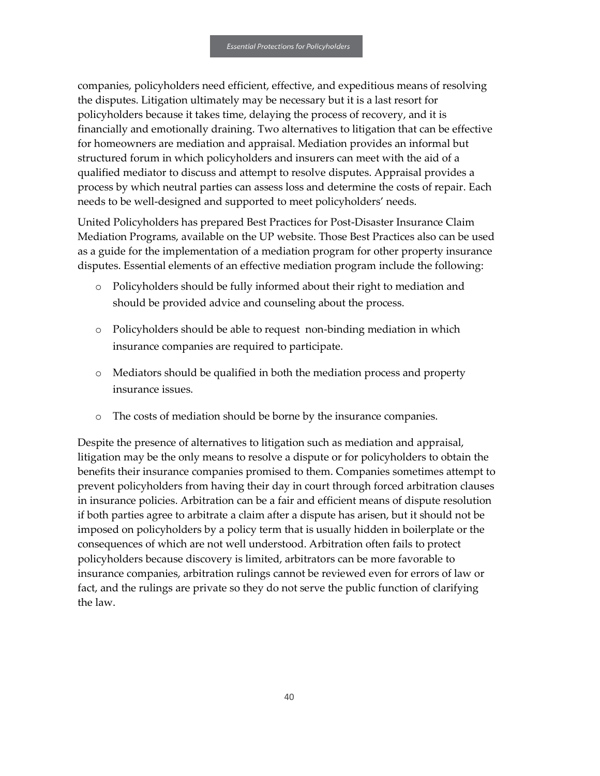companies, policyholders need efficient, effective, and expeditious means of resolving the disputes. Litigation ultimately may be necessary but it is a last resort for policyholders because it takes time, delaying the process of recovery, and it is financially and emotionally draining. Two alternatives to litigation that can be effective for homeowners are mediation and appraisal. Mediation provides an informal but structured forum in which policyholders and insurers can meet with the aid of a qualified mediator to discuss and attempt to resolve disputes. Appraisal provides a process by which neutral parties can assess loss and determine the costs of repair. Each needs to be well-designed and supported to meet policyholders' needs.

United Policyholders has prepared Best Practices for Post-Disaster Insurance Claim Mediation Programs, available on the UP website. Those Best Practices also can be used as a guide for the implementation of a mediation program for other property insurance disputes. Essential elements of an effective mediation program include the following:

- Policyholders should be fully informed about their right to mediation and should be provided advice and counseling about the process.
- o Policyholders should be able to request non-binding mediation in which insurance companies are required to participate.
- o Mediators should be qualified in both the mediation process and property insurance issues.
- o The costs of mediation should be borne by the insurance companies.

Despite the presence of alternatives to litigation such as mediation and appraisal, litigation may be the only means to resolve a dispute or for policyholders to obtain the benefits their insurance companies promised to them. Companies sometimes attempt to prevent policyholders from having their day in court through forced arbitration clauses in insurance policies. Arbitration can be a fair and efficient means of dispute resolution if both parties agree to arbitrate a claim after a dispute has arisen, but it should not be imposed on policyholders by a policy term that is usually hidden in boilerplate or the consequences of which are not well understood. Arbitration often fails to protect policyholders because discovery is limited, arbitrators can be more favorable to insurance companies, arbitration rulings cannot be reviewed even for errors of law or fact, and the rulings are private so they do not serve the public function of clarifying the law.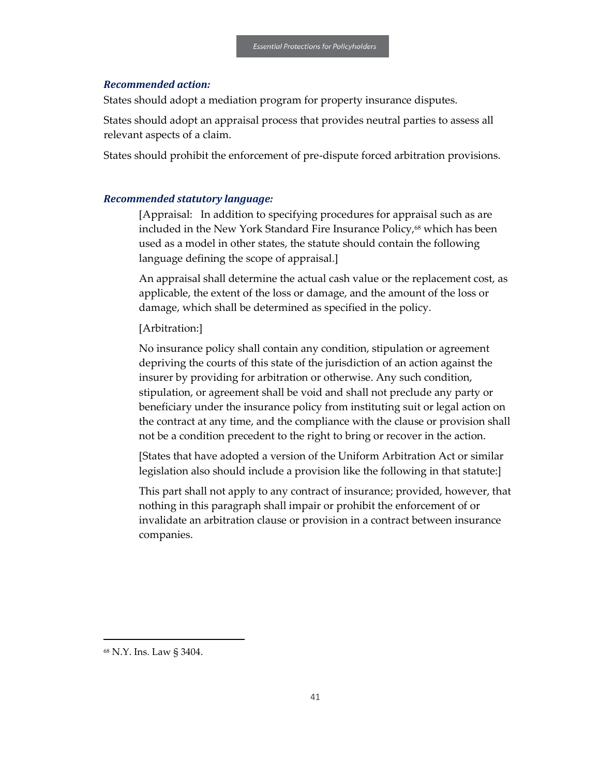#### *Recommended action:*

States should adopt a mediation program for property insurance disputes.

States should adopt an appraisal process that provides neutral parties to assess all relevant aspects of a claim.

States should prohibit the enforcement of pre-dispute forced arbitration provisions.

#### *Recommended statutory language:*

[Appraisal: In addition to specifying procedures for appraisal such as are included in the New York Standard Fire Insurance Policy,<sup>68</sup> which has been used as a model in other states, the statute should contain the following language defining the scope of appraisal.]

An appraisal shall determine the actual cash value or the replacement cost, as applicable, the extent of the loss or damage, and the amount of the loss or damage, which shall be determined as specified in the policy.

#### [Arbitration:]

No insurance policy shall contain any condition, stipulation or agreement depriving the courts of this state of the jurisdiction of an action against the insurer by providing for arbitration or otherwise. Any such condition, stipulation, or agreement shall be void and shall not preclude any party or beneficiary under the insurance policy from instituting suit or legal action on the contract at any time, and the compliance with the clause or provision shall not be a condition precedent to the right to bring or recover in the action.

[States that have adopted a version of the Uniform Arbitration Act or similar legislation also should include a provision like the following in that statute:]

This part shall not apply to any contract of insurance; provided, however, that nothing in this paragraph shall impair or prohibit the enforcement of or invalidate an arbitration clause or provision in a contract between insurance companies.

 $\overline{a}$ 

<sup>68</sup> N.Y. Ins. Law § 3404.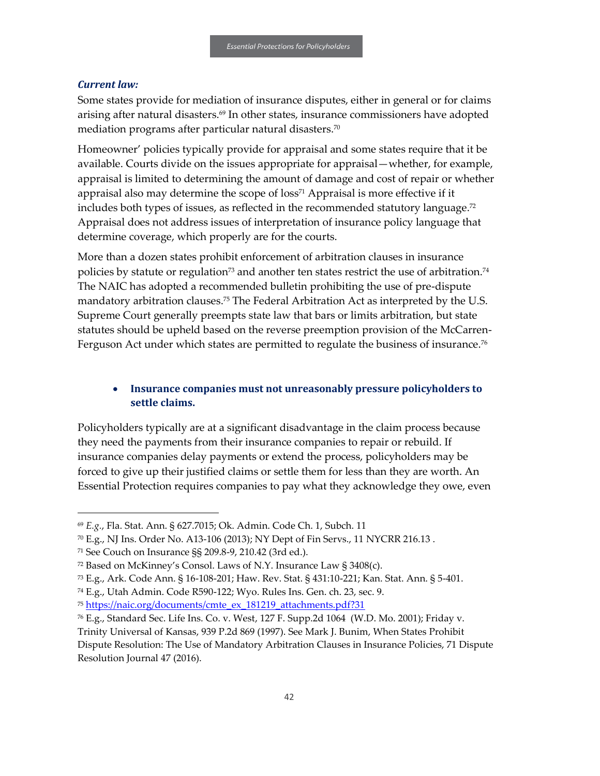#### *Current law:*

1

Some states provide for mediation of insurance disputes, either in general or for claims arising after natural disasters. $69$  In other states, insurance commissioners have adopted mediation programs after particular natural disasters.<sup>70</sup>

Homeowner' policies typically provide for appraisal and some states require that it be available. Courts divide on the issues appropriate for appraisal—whether, for example, appraisal is limited to determining the amount of damage and cost of repair or whether appraisal also may determine the scope of  $loss<sup>71</sup>$  Appraisal is more effective if it includes both types of issues, as reflected in the recommended statutory language. $72$ Appraisal does not address issues of interpretation of insurance policy language that determine coverage, which properly are for the courts.

More than a dozen states prohibit enforcement of arbitration clauses in insurance policies by statute or regulation<sup>73</sup> and another ten states restrict the use of arbitration.<sup>74</sup> The NAIC has adopted a recommended bulletin prohibiting the use of pre-dispute mandatory arbitration clauses.<sup>75</sup> The Federal Arbitration Act as interpreted by the U.S. Supreme Court generally preempts state law that bars or limits arbitration, but state statutes should be upheld based on the reverse preemption provision of the McCarren-Ferguson Act under which states are permitted to regulate the business of insurance.<sup>76</sup>

#### • **Insurance companies must not unreasonably pressure policyholders to settle claims.**

Policyholders typically are at a significant disadvantage in the claim process because they need the payments from their insurance companies to repair or rebuild. If insurance companies delay payments or extend the process, policyholders may be forced to give up their justified claims or settle them for less than they are worth. An Essential Protection requires companies to pay what they acknowledge they owe, even

<sup>69</sup> *E.g.*, Fla. Stat. Ann. § 627.7015; Ok. Admin. Code Ch. 1, Subch. 11

 $70$  E.g., NJ Ins. Order No. A13-106 (2013); NY Dept of Fin Servs., 11 NYCRR 216.13.

<sup>71</sup> See Couch on Insurance §§ 209.8-9, 210.42 (3rd ed.).

<sup>72</sup> Based on McKinney's Consol. Laws of N.Y. Insurance Law § 3408(c).

<sup>73</sup> E.g., Ark. Code Ann. § 16-108-201; Haw. Rev. Stat. § 431:10-221; Kan. Stat. Ann. § 5-401.

<sup>74</sup> E.g., Utah Admin. Code R590-122; Wyo. Rules Ins. Gen. ch. 23, sec. 9.

<sup>75</sup> [https://naic.org/documents/cmte\\_ex\\_181219\\_attachments.pdf?31](https://naic.org/documents/cmte_ex_181219_attachments.pdf?31)

<sup>76</sup> E.g., Standard Sec. Life Ins. Co. v. West, 127 F. Supp.2d 1064 (W.D. Mo. 2001); Friday v.

Trinity Universal of Kansas, 939 P.2d 869 (1997). See Mark J. Bunim, When States Prohibit Dispute Resolution: The Use of Mandatory Arbitration Clauses in Insurance Policies, 71 Dispute Resolution Journal 47 (2016).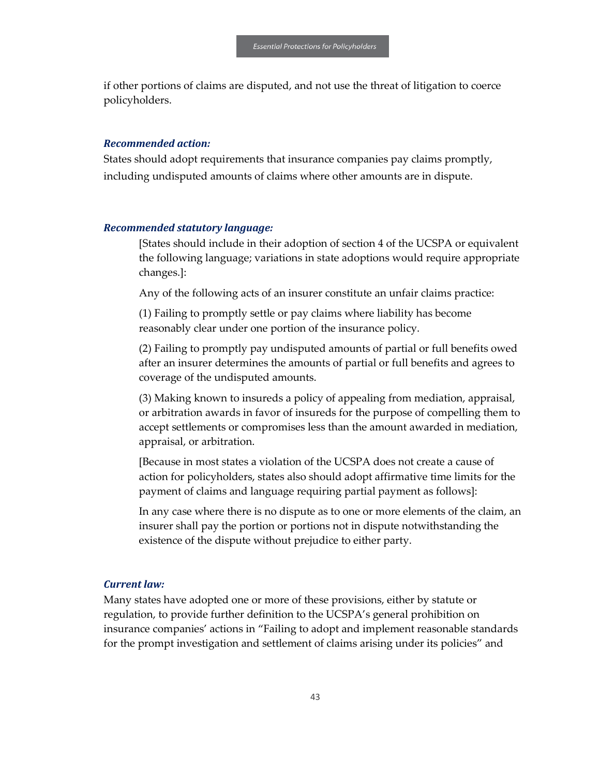if other portions of claims are disputed, and not use the threat of litigation to coerce policyholders.

#### *Recommended action:*

States should adopt requirements that insurance companies pay claims promptly, including undisputed amounts of claims where other amounts are in dispute.

#### *Recommended statutory language:*

[States should include in their adoption of section 4 of the UCSPA or equivalent the following language; variations in state adoptions would require appropriate changes.]:

Any of the following acts of an insurer constitute an unfair claims practice:

(1) Failing to promptly settle or pay claims where liability has become reasonably clear under one portion of the insurance policy.

(2) Failing to promptly pay undisputed amounts of partial or full benefits owed after an insurer determines the amounts of partial or full benefits and agrees to coverage of the undisputed amounts.

(3) Making known to insureds a policy of appealing from mediation, appraisal, or arbitration awards in favor of insureds for the purpose of compelling them to accept settlements or compromises less than the amount awarded in mediation, appraisal, or arbitration.

[Because in most states a violation of the UCSPA does not create a cause of action for policyholders, states also should adopt affirmative time limits for the payment of claims and language requiring partial payment as follows]:

In any case where there is no dispute as to one or more elements of the claim, an insurer shall pay the portion or portions not in dispute notwithstanding the existence of the dispute without prejudice to either party.

#### *Current law:*

Many states have adopted one or more of these provisions, either by statute or regulation, to provide further definition to the UCSPA's general prohibition on insurance companies' actions in "Failing to adopt and implement reasonable standards for the prompt investigation and settlement of claims arising under its policies" and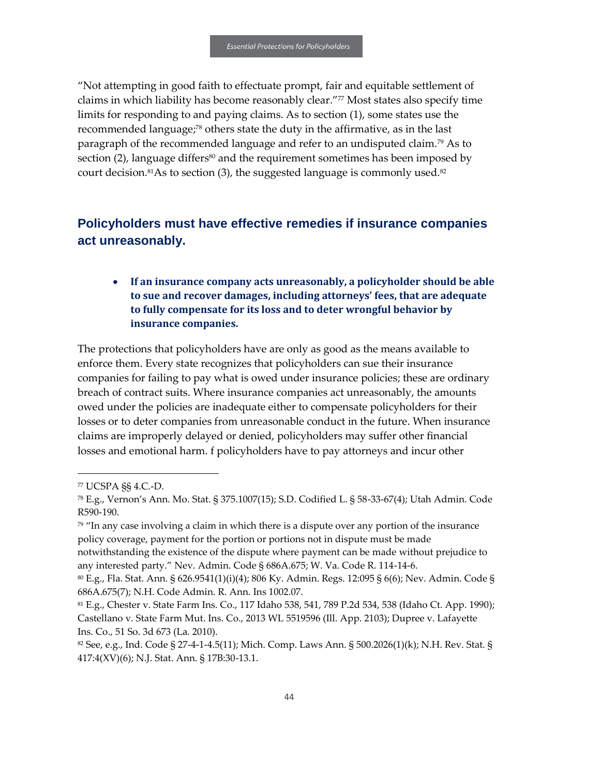"Not attempting in good faith to effectuate prompt, fair and equitable settlement of claims in which liability has become reasonably clear."<sup>77</sup> Most states also specify time limits for responding to and paying claims. As to section (1), some states use the recommended language;<sup>78</sup> others state the duty in the affirmative, as in the last paragraph of the recommended language and refer to an undisputed claim.<sup>79</sup> As to section  $(2)$ , language differs<sup>80</sup> and the requirement sometimes has been imposed by court decision.<sup>81</sup>As to section (3), the suggested language is commonly used.<sup>82</sup>

## <span id="page-45-0"></span>**Policyholders must have effective remedies if insurance companies act unreasonably.**

## • **If an insurance company acts unreasonably, a policyholder should be able to sue and recover damages, including attorneys' fees, that are adequate to fully compensate for its loss and to deter wrongful behavior by insurance companies.**

The protections that policyholders have are only as good as the means available to enforce them. Every state recognizes that policyholders can sue their insurance companies for failing to pay what is owed under insurance policies; these are ordinary breach of contract suits. Where insurance companies act unreasonably, the amounts owed under the policies are inadequate either to compensate policyholders for their losses or to deter companies from unreasonable conduct in the future. When insurance claims are improperly delayed or denied, policyholders may suffer other financial losses and emotional harm. f policyholders have to pay attorneys and incur other

1

<sup>77</sup> UCSPA §§ 4.C.-D.

<sup>78</sup> E.g., Vernon's Ann. Mo. Stat. § 375.1007(15); S.D. Codified L. § 58-33-67(4); Utah Admin. Code R590-190.

 $79$  "In any case involving a claim in which there is a dispute over any portion of the insurance policy coverage, payment for the portion or portions not in dispute must be made

notwithstanding the existence of the dispute where payment can be made without prejudice to any interested party." Nev. Admin. Code § 686A.675; W. Va. Code R. 114-14-6.

<sup>80</sup> E.g., Fla. Stat. Ann. § 626.9541(1)(i)(4); 806 Ky. Admin. Regs. 12:095 § 6(6); Nev. Admin. Code § 686A.675(7); N.H. Code Admin. R. Ann. Ins 1002.07.

<sup>81</sup> E.g., Chester v. State Farm Ins. Co., 117 Idaho 538, 541, 789 P.2d 534, 538 (Idaho Ct. App. 1990); Castellano v. State Farm Mut. Ins. Co., 2013 WL 5519596 (Ill. App. 2103); Dupree v. Lafayette Ins. Co., 51 So. 3d 673 (La. 2010).

<sup>&</sup>lt;sup>82</sup> See, e.g., Ind. Code § 27-4-1-4.5(11); Mich. Comp. Laws Ann. § 500.2026(1)(k); N.H. Rev. Stat. § 417:4(XV)(6); N.J. Stat. Ann. § 17B:30-13.1.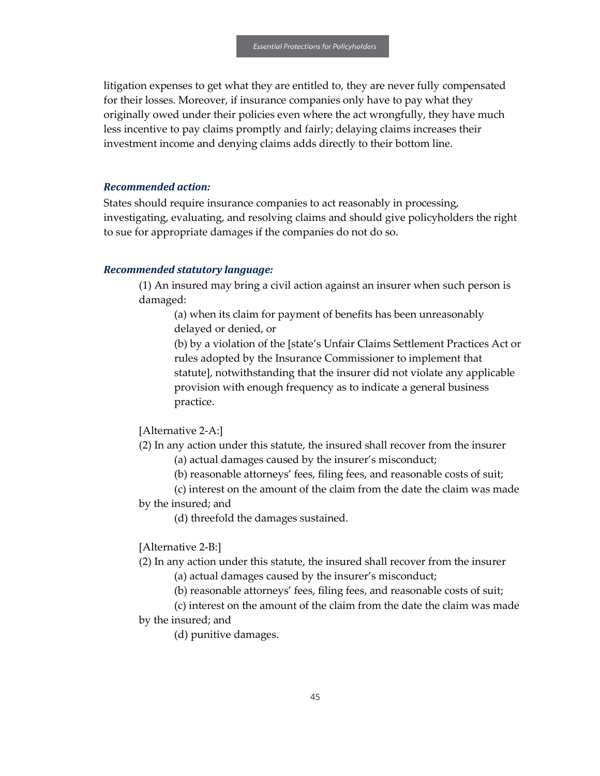litigation expenses to get what they are entitled to, they are never fully compensated for their losses. Moreover, if insurance companies only have to pay what they originally owed under their policies even where the act wrongfully, they have much less incentive to pay claims promptly and fairly; delaying claims increases their investment income and denying claims adds directly to their bottom line.

#### *Recommended action:*

States should require insurance companies to act reasonably in processing, investigating, evaluating, and resolving claims and should give policyholders the right to sue for appropriate damages if the companies do not do so.

#### *Recommended statutory language:*

(1) An insured may bring a civil action against an insurer when such person is damaged:

(a) when its claim for payment of benefits has been unreasonably delayed or denied, or

(b) by a violation of the [state's Unfair Claims Settlement Practices Act or rules adopted by the Insurance Commissioner to implement that statute], notwithstanding that the insurer did not violate any applicable provision with enough frequency as to indicate a general business practice.

#### [Alternative 2-A:]

(2) In any action under this statute, the insured shall recover from the insurer

- (a) actual damages caused by the insurer's misconduct;
- (b) reasonable attorneys' fees, filing fees, and reasonable costs of suit;

(c) interest on the amount of the claim from the date the claim was made by the insured; and

(d) threefold the damages sustained.

[Alternative 2-B:]

(2) In any action under this statute, the insured shall recover from the insurer

(a) actual damages caused by the insurer's misconduct;

(b) reasonable attorneys' fees, filing fees, and reasonable costs of suit;

(c) interest on the amount of the claim from the date the claim was made by the insured; and

(d) punitive damages.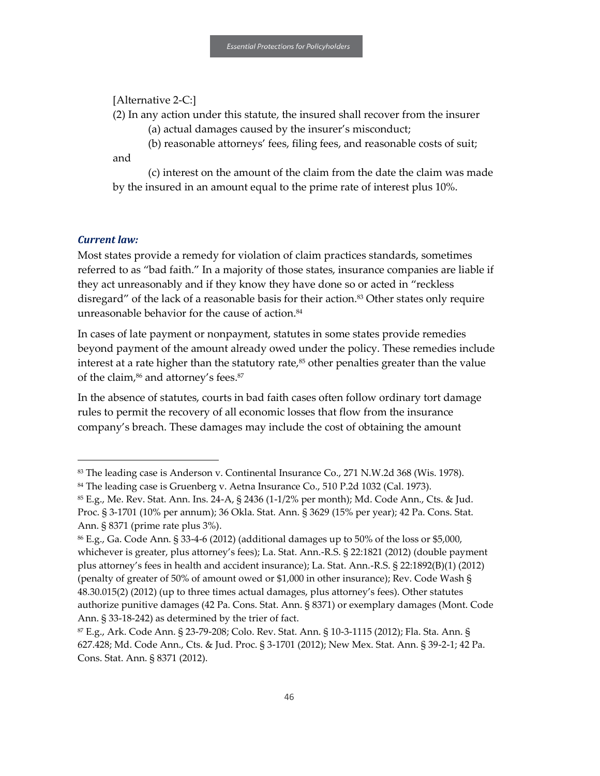#### [Alternative 2-C:]

(2) In any action under this statute, the insured shall recover from the insurer

(a) actual damages caused by the insurer's misconduct;

(b) reasonable attorneys' fees, filing fees, and reasonable costs of suit;

and

(c) interest on the amount of the claim from the date the claim was made by the insured in an amount equal to the prime rate of interest plus 10%.

#### *Current law:*

1

Most states provide a remedy for violation of claim practices standards, sometimes referred to as "bad faith." In a majority of those states, insurance companies are liable if they act unreasonably and if they know they have done so or acted in "reckless disregard" of the lack of a reasonable basis for their action.<sup>83</sup> Other states only require unreasonable behavior for the cause of action.<sup>84</sup>

In cases of late payment or nonpayment, statutes in some states provide remedies beyond payment of the amount already owed under the policy. These remedies include interest at a rate higher than the statutory rate, $85$  other penalties greater than the value of the claim,<sup>86</sup> and attorney's fees.<sup>87</sup>

In the absence of statutes, courts in bad faith cases often follow ordinary tort damage rules to permit the recovery of all economic losses that flow from the insurance company's breach. These damages may include the cost of obtaining the amount

<sup>&</sup>lt;sup>83</sup> The leading case is Anderson v. Continental Insurance Co., 271 N.W.2d 368 (Wis. 1978).

<sup>&</sup>lt;sup>84</sup> The leading case is Gruenberg v. Aetna Insurance Co., 510 P.2d 1032 (Cal. 1973).

<sup>85</sup> E.g., Me. Rev. Stat. Ann. Ins. 24-A, § 2436 (1-1/2% per month); Md. Code Ann., Cts. & Jud. Proc. § 3-1701 (10% per annum); 36 Okla. Stat. Ann. § 3629 (15% per year); 42 Pa. Cons. Stat. Ann. § 8371 (prime rate plus 3%).

<sup>86</sup> E.g., Ga. Code Ann. § 33-4-6 (2012) (additional damages up to 50% of the loss or \$5,000, whichever is greater, plus attorney's fees); La. Stat. Ann.-R.S. § 22:1821 (2012) (double payment plus attorney's fees in health and accident insurance); La. Stat. Ann.-R.S. § 22:1892(B)(1) (2012) (penalty of greater of 50% of amount owed or \$1,000 in other insurance); Rev. Code Wash § 48.30.015(2) (2012) (up to three times actual damages, plus attorney's fees). Other statutes authorize punitive damages (42 Pa. Cons. Stat. Ann. § 8371) or exemplary damages (Mont. Code Ann. § 33-18-242) as determined by the trier of fact.

<sup>87</sup> E.g., Ark. Code Ann. § 23-79-208; Colo. Rev. Stat. Ann. § 10-3-1115 (2012); Fla. Sta. Ann. § 627.428; Md. Code Ann., Cts. & Jud. Proc. § 3-1701 (2012); New Mex. Stat. Ann. § 39-2-1; 42 Pa. Cons. Stat. Ann. § 8371 (2012).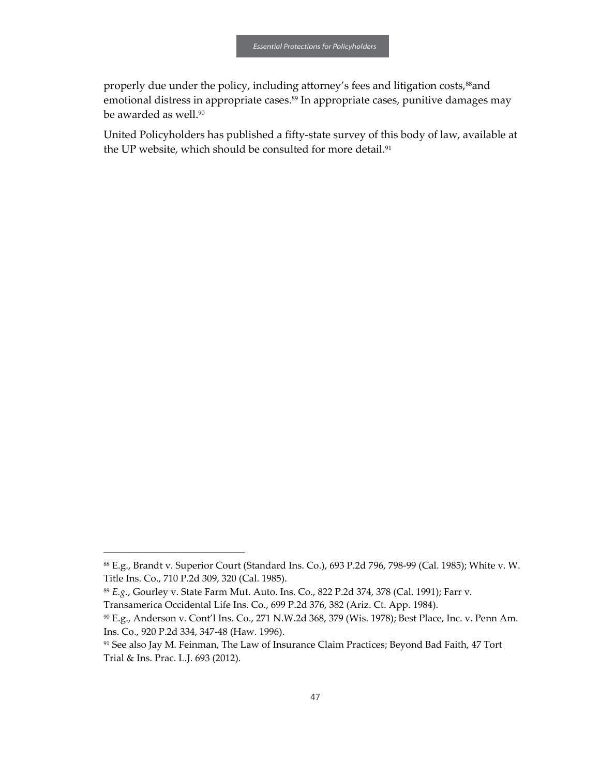properly due under the policy, including attorney's fees and litigation costs,<sup>88</sup>and emotional distress in appropriate cases.<sup>89</sup> In appropriate cases, punitive damages may be awarded as well.<sup>90</sup>

United Policyholders has published a fifty-state survey of this body of law, available at the UP website, which should be consulted for more detail.<sup>91</sup>

1

<sup>88</sup> E.g., Brandt v. Superior Court (Standard Ins. Co.), 693 P.2d 796, 798-99 (Cal. 1985); White v. W. Title Ins. Co., 710 P.2d 309, 320 (Cal. 1985).

<sup>89</sup> *E.g.*, Gourley v. State Farm Mut. Auto. Ins. Co., 822 P.2d 374, 378 (Cal. 1991); Farr v.

Transamerica Occidental Life Ins. Co., 699 P.2d 376, 382 (Ariz. Ct. App. 1984).

<sup>90</sup> E.g., Anderson v. Cont'l Ins. Co., 271 N.W.2d 368, 379 (Wis. 1978); Best Place, Inc. v. Penn Am. Ins. Co., 920 P.2d 334, 347-48 (Haw. 1996).

<sup>91</sup> See also Jay M. Feinman, The Law of Insurance Claim Practices; Beyond Bad Faith, 47 Tort Trial & Ins. Prac. L.J. 693 (2012).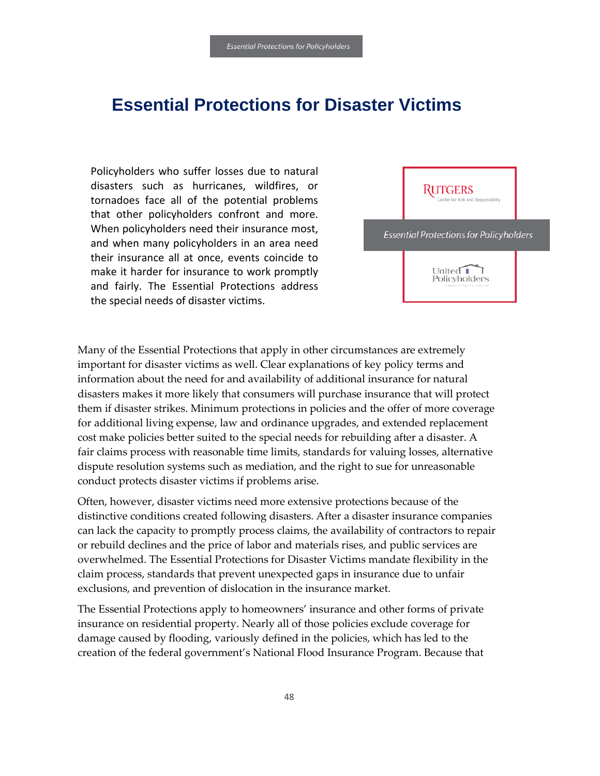# <span id="page-49-0"></span>**Essential Protections for Disaster Victims**

Policyholders who suffer losses due to natural disasters such as hurricanes, wildfires, or tornadoes face all of the potential problems that other policyholders confront and more. When policyholders need their insurance most, and when many policyholders in an area need their insurance all at once, events coincide to make it harder for insurance to work promptly and fairly. The Essential Protections address the special needs of disaster victims.



Many of the Essential Protections that apply in other circumstances are extremely important for disaster victims as well. Clear explanations of key policy terms and information about the need for and availability of additional insurance for natural disasters makes it more likely that consumers will purchase insurance that will protect them if disaster strikes. Minimum protections in policies and the offer of more coverage for additional living expense, law and ordinance upgrades, and extended replacement cost make policies better suited to the special needs for rebuilding after a disaster. A fair claims process with reasonable time limits, standards for valuing losses, alternative dispute resolution systems such as mediation, and the right to sue for unreasonable conduct protects disaster victims if problems arise.

Often, however, disaster victims need more extensive protections because of the distinctive conditions created following disasters. After a disaster insurance companies can lack the capacity to promptly process claims, the availability of contractors to repair or rebuild declines and the price of labor and materials rises, and public services are overwhelmed. The Essential Protections for Disaster Victims mandate flexibility in the claim process, standards that prevent unexpected gaps in insurance due to unfair exclusions, and prevention of dislocation in the insurance market.

The Essential Protections apply to homeowners' insurance and other forms of private insurance on residential property. Nearly all of those policies exclude coverage for damage caused by flooding, variously defined in the policies, which has led to the creation of the federal government's National Flood Insurance Program. Because that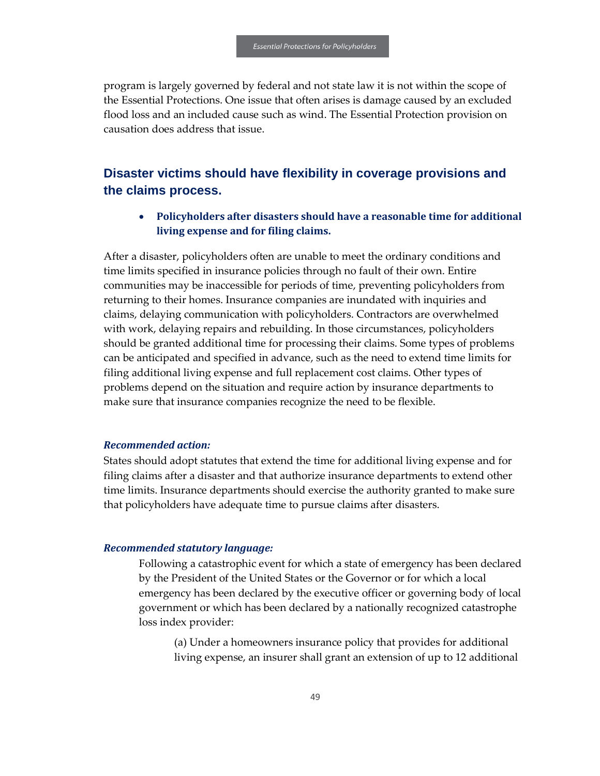program is largely governed by federal and not state law it is not within the scope of the Essential Protections. One issue that often arises is damage caused by an excluded flood loss and an included cause such as wind. The Essential Protection provision on causation does address that issue.

## <span id="page-50-0"></span>**Disaster victims should have flexibility in coverage provisions and the claims process.**

• **Policyholders after disasters should have a reasonable time for additional living expense and for filing claims.**

After a disaster, policyholders often are unable to meet the ordinary conditions and time limits specified in insurance policies through no fault of their own. Entire communities may be inaccessible for periods of time, preventing policyholders from returning to their homes. Insurance companies are inundated with inquiries and claims, delaying communication with policyholders. Contractors are overwhelmed with work, delaying repairs and rebuilding. In those circumstances, policyholders should be granted additional time for processing their claims. Some types of problems can be anticipated and specified in advance, such as the need to extend time limits for filing additional living expense and full replacement cost claims. Other types of problems depend on the situation and require action by insurance departments to make sure that insurance companies recognize the need to be flexible.

#### *Recommended action:*

States should adopt statutes that extend the time for additional living expense and for filing claims after a disaster and that authorize insurance departments to extend other time limits. Insurance departments should exercise the authority granted to make sure that policyholders have adequate time to pursue claims after disasters.

#### *Recommended statutory language:*

Following a catastrophic event for which a state of emergency has been declared by the President of the United States or the Governor or for which a local emergency has been declared by the executive officer or governing body of local government or which has been declared by a nationally recognized catastrophe loss index provider:

(a) Under a homeowners insurance policy that provides for additional living expense, an insurer shall grant an extension of up to 12 additional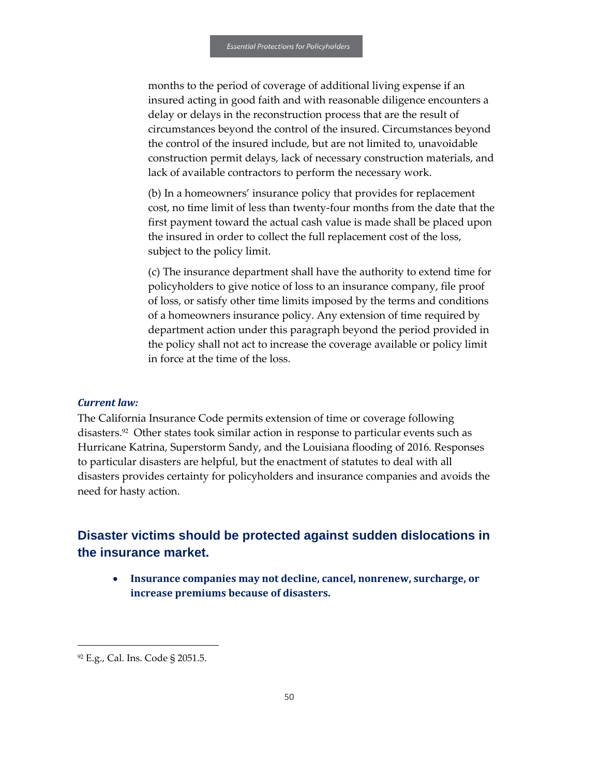months to the period of coverage of additional living expense if an insured acting in good faith and with reasonable diligence encounters a delay or delays in the reconstruction process that are the result of circumstances beyond the control of the insured. Circumstances beyond the control of the insured include, but are not limited to, unavoidable construction permit delays, lack of necessary construction materials, and lack of available contractors to perform the necessary work.

(b) In a homeowners' insurance policy that provides for replacement cost, no time limit of less than twenty-four months from the date that the first payment toward the actual cash value is made shall be placed upon the insured in order to collect the full replacement cost of the loss, subject to the policy limit.

(c) The insurance department shall have the authority to extend time for policyholders to give notice of loss to an insurance company, file proof of loss, or satisfy other time limits imposed by the terms and conditions of a homeowners insurance policy. Any extension of time required by department action under this paragraph beyond the period provided in the policy shall not act to increase the coverage available or policy limit in force at the time of the loss.

#### *Current law:*

The California Insurance Code permits extension of time or coverage following disasters.<sup>92</sup> Other states took similar action in response to particular events such as Hurricane Katrina, Superstorm Sandy, and the Louisiana flooding of 2016. Responses to particular disasters are helpful, but the enactment of statutes to deal with all disasters provides certainty for policyholders and insurance companies and avoids the need for hasty action.

## <span id="page-51-0"></span>**Disaster victims should be protected against sudden dislocations in the insurance market.**

• **Insurance companies may not decline, cancel, nonrenew, surcharge, or increase premiums because of disasters.**

 $\overline{a}$ 

<sup>92</sup> E.g., Cal. Ins. Code § 2051.5.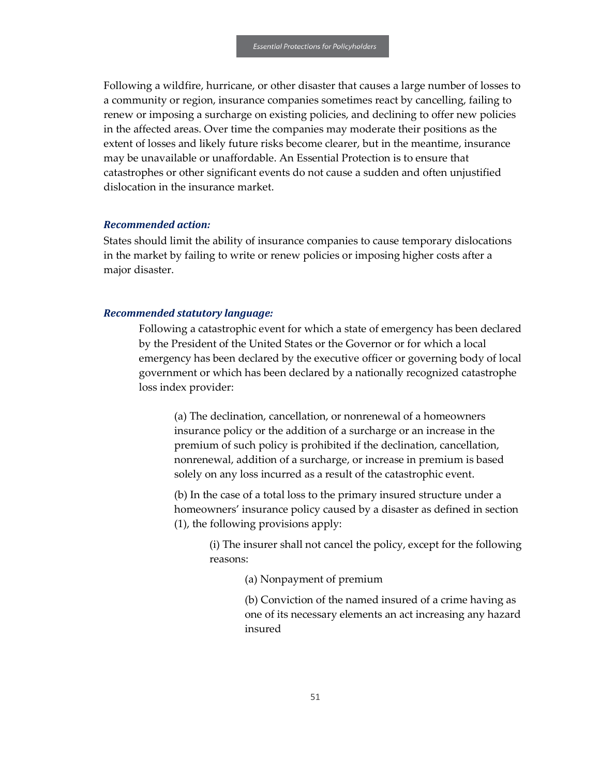Following a wildfire, hurricane, or other disaster that causes a large number of losses to a community or region, insurance companies sometimes react by cancelling, failing to renew or imposing a surcharge on existing policies, and declining to offer new policies in the affected areas. Over time the companies may moderate their positions as the extent of losses and likely future risks become clearer, but in the meantime, insurance may be unavailable or unaffordable. An Essential Protection is to ensure that catastrophes or other significant events do not cause a sudden and often unjustified dislocation in the insurance market.

#### *Recommended action:*

States should limit the ability of insurance companies to cause temporary dislocations in the market by failing to write or renew policies or imposing higher costs after a major disaster.

#### *Recommended statutory language:*

Following a catastrophic event for which a state of emergency has been declared by the President of the United States or the Governor or for which a local emergency has been declared by the executive officer or governing body of local government or which has been declared by a nationally recognized catastrophe loss index provider:

(a) The declination, cancellation, or nonrenewal of a homeowners insurance policy or the addition of a surcharge or an increase in the premium of such policy is prohibited if the declination, cancellation, nonrenewal, addition of a surcharge, or increase in premium is based solely on any loss incurred as a result of the catastrophic event.

(b) In the case of a total loss to the primary insured structure under a homeowners' insurance policy caused by a disaster as defined in section (1), the following provisions apply:

> (i) The insurer shall not cancel the policy, except for the following reasons:

> > (a) Nonpayment of premium

(b) Conviction of the named insured of a crime having as one of its necessary elements an act increasing any hazard insured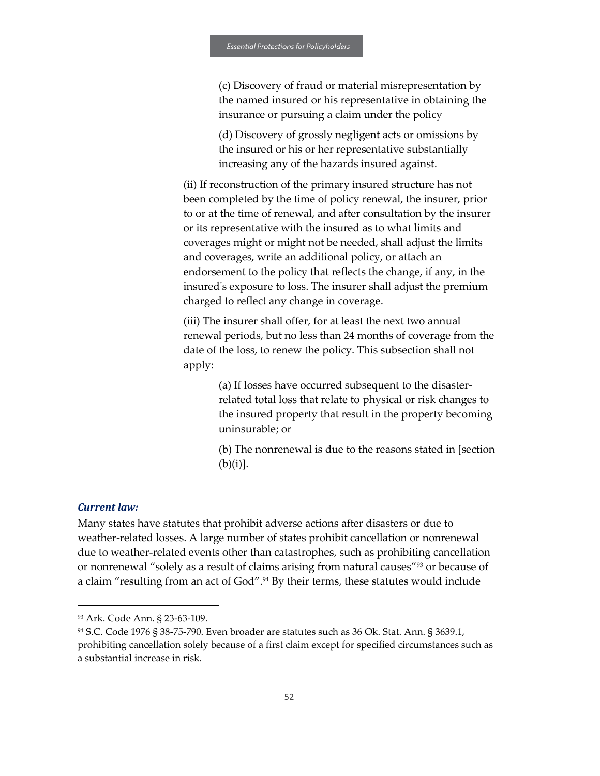(c) Discovery of fraud or material misrepresentation by the named insured or his representative in obtaining the insurance or pursuing a claim under the policy

(d) Discovery of grossly negligent acts or omissions by the insured or his or her representative substantially increasing any of the hazards insured against.

(ii) If reconstruction of the primary insured structure has not been completed by the time of policy renewal, the insurer, prior to or at the time of renewal, and after consultation by the insurer or its representative with the insured as to what limits and coverages might or might not be needed, shall adjust the limits and coverages, write an additional policy, or attach an endorsement to the policy that reflects the change, if any, in the insured's exposure to loss. The insurer shall adjust the premium charged to reflect any change in coverage.

(iii) The insurer shall offer, for at least the next two annual renewal periods, but no less than 24 months of coverage from the date of the loss, to renew the policy. This subsection shall not apply:

> (a) If losses have occurred subsequent to the disasterrelated total loss that relate to physical or risk changes to the insured property that result in the property becoming uninsurable; or

> (b) The nonrenewal is due to the reasons stated in [section  $(b)(i)$ ].

#### *Current law:*

1

Many states have statutes that prohibit adverse actions after disasters or due to weather-related losses. A large number of states prohibit cancellation or nonrenewal due to weather-related events other than catastrophes, such as prohibiting cancellation or nonrenewal "solely as a result of claims arising from natural causes"<sup>93</sup> or because of a claim "resulting from an act of God".<sup>94</sup> By their terms, these statutes would include

<sup>93</sup> Ark. Code Ann. § 23-63-109.

<sup>94</sup> S.C. Code 1976 § 38-75-790. Even broader are statutes such as 36 Ok. Stat. Ann. § 3639.1, prohibiting cancellation solely because of a first claim except for specified circumstances such as a substantial increase in risk.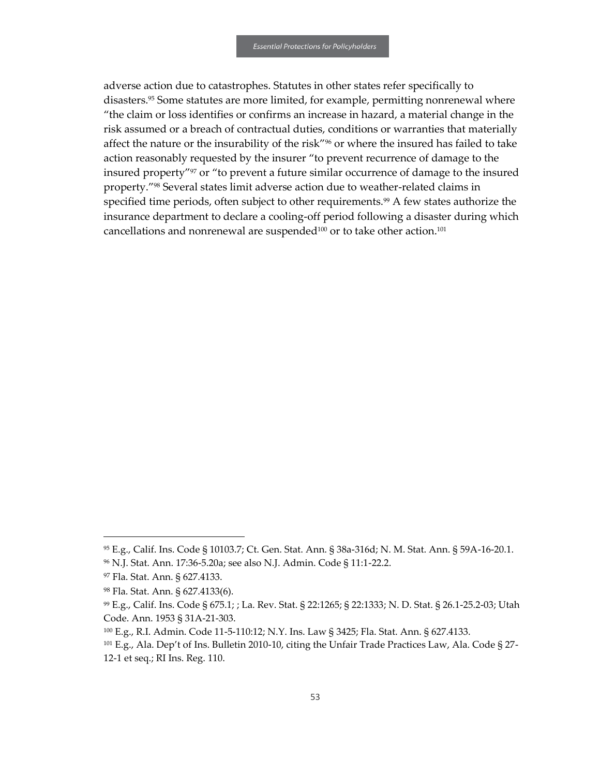adverse action due to catastrophes. Statutes in other states refer specifically to disasters.<sup>95</sup> Some statutes are more limited, for example, permitting nonrenewal where "the claim or loss identifies or confirms an increase in hazard, a material change in the risk assumed or a breach of contractual duties, conditions or warranties that materially affect the nature or the insurability of the risk"<sup>96</sup> or where the insured has failed to take action reasonably requested by the insurer "to prevent recurrence of damage to the insured property"<sup>97</sup> or "to prevent a future similar occurrence of damage to the insured property."<sup>98</sup> Several states limit adverse action due to weather-related claims in specified time periods, often subject to other requirements.<sup>99</sup> A few states authorize the insurance department to declare a cooling-off period following a disaster during which cancellations and nonrenewal are suspended<sup>100</sup> or to take other action.<sup>101</sup>

 $\overline{a}$ 

<sup>95</sup> E.g., Calif. Ins. Code § 10103.7; Ct. Gen. Stat. Ann. § 38a-316d; N. M. Stat. Ann. § 59A-16-20.1.

<sup>96</sup> N.J. Stat. Ann. 17:36-5.20a; see also N.J. Admin. Code § 11:1-22.2.

<sup>97</sup> Fla. Stat. Ann. § 627.4133.

<sup>98</sup> Fla. Stat. Ann. § 627.4133(6).

<sup>99</sup> E.g., Calif. Ins. Code § 675.1; ; La. Rev. Stat. § 22:1265; § 22:1333; N. D. Stat. § 26.1-25.2-03; Utah Code. Ann. 1953 § 31A-21-303.

<sup>100</sup> E.g., R.I. Admin. Code 11-5-110:12; N.Y. Ins. Law § 3425; Fla. Stat. Ann. § 627.4133.

<sup>&</sup>lt;sup>101</sup> E.g., Ala. Dep't of Ins. Bulletin 2010-10, citing the Unfair Trade Practices Law, Ala. Code § 27-12-1 et seq.; RI Ins. Reg. 110.